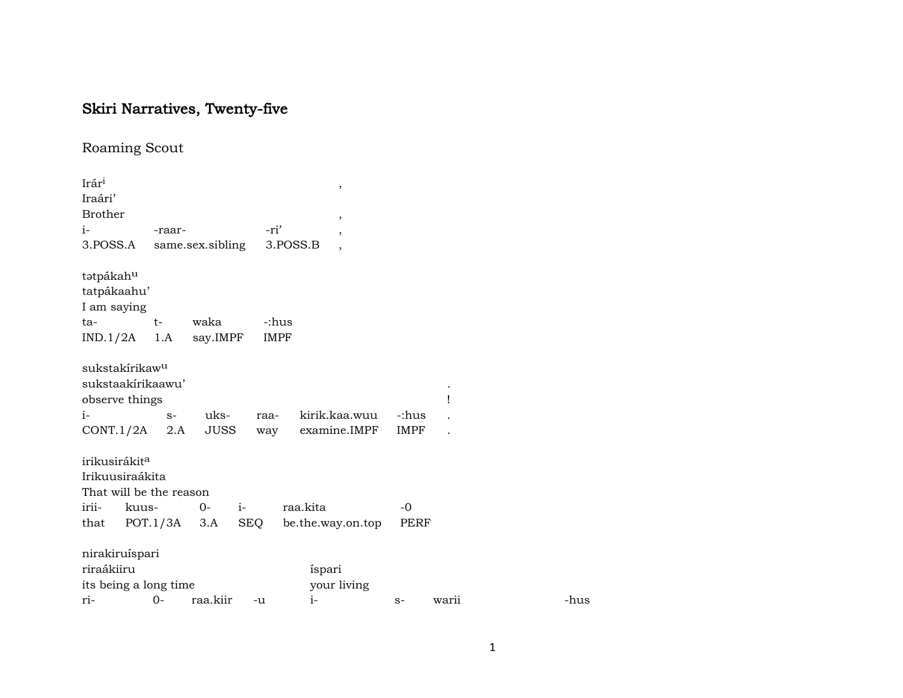## Skiri Narratives, Twenty-five

Roaming Scout

| Irár <sup>i</sup><br>Iraári'                                                                                        |             |                     |             | $\overline{\phantom{a}}$      |               |       |      |
|---------------------------------------------------------------------------------------------------------------------|-------------|---------------------|-------------|-------------------------------|---------------|-------|------|
| <b>Brother</b>                                                                                                      |             |                     |             | ,                             |               |       |      |
| $i-$                                                                                                                | -raar-      |                     | -ri'        | $\overline{\phantom{a}}$      |               |       |      |
| 3.POSS.A                                                                                                            |             | same.sex.sibling    |             | 3.POSS.B<br>$\overline{ }$    |               |       |      |
| tatpákahu<br>tatpákaahu'<br>I am saying                                                                             |             |                     |             |                               |               |       |      |
| ta-                                                                                                                 | $t-$        | waka                | -:hus       |                               |               |       |      |
| IND.1/2A                                                                                                            | 1.A         | say.IMPF            | <b>IMPF</b> |                               |               |       |      |
| sukstakírikaw <sup>u</sup><br>sukstaakírikaawu'<br>observe things<br>$i-$<br>CONT.1/2A<br>irikusirákit <sup>a</sup> | $S-$<br>2.A | uks-<br><b>JUSS</b> | raa-<br>way | kirik.kaa.wuu<br>examine.IMPF | -:hus<br>IMPF | Ţ     |      |
| Irikuusiraákita                                                                                                     |             |                     |             |                               |               |       |      |
| That will be the reason                                                                                             |             |                     |             |                               |               |       |      |
| irii-<br>kuus-                                                                                                      |             | $i-$<br>$0 -$       |             | raa.kita                      | $-0$          |       |      |
| that $POT.1/3A$ 3.A                                                                                                 |             |                     | SEQ         | be.the.way.on.top             | PERF          |       |      |
| nirakiruíspari<br>riraákiiru                                                                                        |             |                     |             | íspari                        |               |       |      |
| its being a long time                                                                                               |             |                     |             | your living                   |               |       |      |
| ri-                                                                                                                 | $0 -$       | raa.kiir            | -u          | $i-$                          | $S-$          | warii | -hus |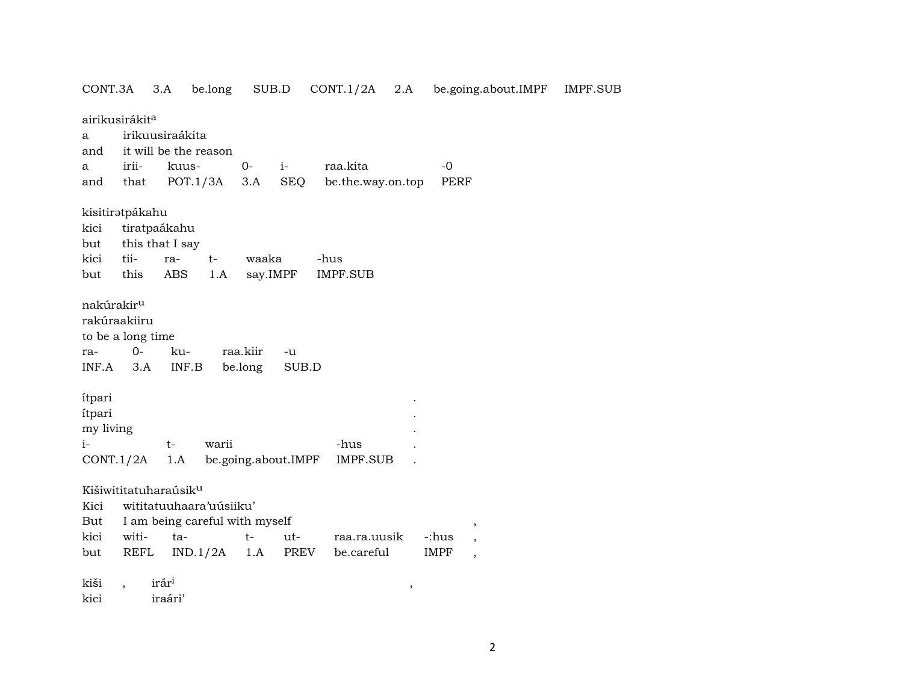CONT.3A 3.A be.long SUB.D CONT.1/2A 2.A be.going.about.IMPF IMPF.SUB airikusirákit<sup>a</sup> a irikuusiraákita and it will be the reason a irii- kuus- 0- i- raa.kita -0 and that POT.1/3A 3.A SEQ be.the.way.on.top PERF kisitirətpákahu kici tiratpaákahu but this that I say kici tii- ra- t- waaka -hus but this ABS 1.A say.IMPF IMPF.SUB nakúrakirµ rakúraakiiru to be a long time ra- 0- ku- raa.kiir -u INF.A 3.A INF.B be.long SUB.D ítpari . ítpari . my living . i- t- warii -hus . CONT.1/2A 1.A be.going.about.IMPF IMPF.SUB . Kišiwititatuharaúsikµ Kici wititatuuhaara'uúsiiku' But I am being careful with myself , kici witi- ta- t- ut- raa.ra.uusik -:hus , but REFL IND.1/2A 1.A PREV be.careful IMPF , kiši , irár³ , kici iraári'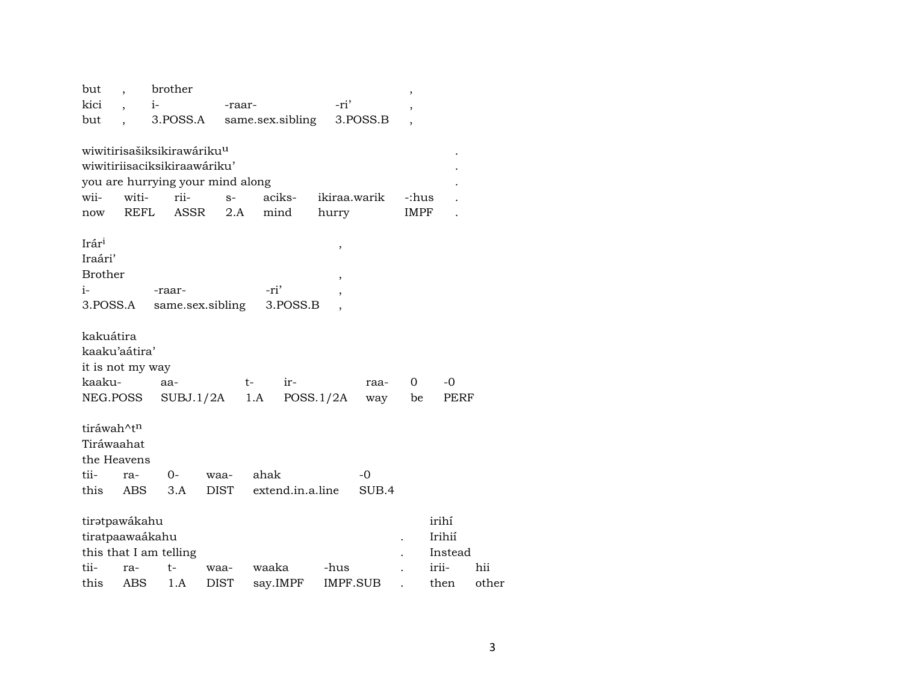| but                    |             | brother                                |             |        |                  |       |                 | ,           |         |       |
|------------------------|-------------|----------------------------------------|-------------|--------|------------------|-------|-----------------|-------------|---------|-------|
| kici                   |             | $i-$                                   |             | -raar- |                  | -ri'  |                 |             |         |       |
| but                    |             | 3.POSS.A                               |             |        | same.sex.sibling |       | 3.POSS.B        |             |         |       |
|                        |             |                                        |             |        |                  |       |                 |             |         |       |
|                        |             | wiwitirisašiksikirawáriku <sup>u</sup> |             |        |                  |       |                 |             |         |       |
|                        |             | wiwitiriisaciksikiraawáriku'           |             |        |                  |       |                 |             |         |       |
|                        |             | you are hurrying your mind along       |             |        |                  |       |                 |             |         |       |
| wii-                   | witi-       | rii-                                   | $S-$        |        | aciks-           |       | ikiraa.warik    | -:hus       |         |       |
| now                    | <b>REFL</b> | ASSR                                   | 2.A         |        | mind             | hurry |                 | <b>IMPF</b> |         |       |
|                        |             |                                        |             |        |                  |       |                 |             |         |       |
| Irári<br>Iraári'       |             |                                        |             |        |                  | $\,$  |                 |             |         |       |
| <b>Brother</b>         |             |                                        |             |        |                  |       |                 |             |         |       |
| i-                     |             |                                        |             |        | -ri'             | ,     |                 |             |         |       |
|                        |             | -raar-                                 |             |        | 3.POSS.B         |       |                 |             |         |       |
| 3.POSS.A               |             | same.sex.sibling                       |             |        |                  |       |                 |             |         |       |
| kakuátira              |             |                                        |             |        |                  |       |                 |             |         |       |
| kaaku'aátira'          |             |                                        |             |        |                  |       |                 |             |         |       |
| it is not my way       |             |                                        |             |        |                  |       |                 |             |         |       |
| kaaku-                 |             | aa-                                    |             | t-     | ir-              |       | raa-            | 0           | -0      |       |
| NEG.POSS               |             | SUBJ.1/2A                              |             | 1.A    | POSS.1/2A        |       | way             | be          | PERF    |       |
|                        |             |                                        |             |        |                  |       |                 |             |         |       |
| tiráwah^t <sup>n</sup> |             |                                        |             |        |                  |       |                 |             |         |       |
| Tiráwaahat             |             |                                        |             |        |                  |       |                 |             |         |       |
| the Heavens            |             |                                        |             |        |                  |       |                 |             |         |       |
| tii-                   | ra-         | 0-                                     | waa-        | ahak   |                  |       | -0              |             |         |       |
| this                   | ABS         | 3.A                                    | <b>DIST</b> |        | extend.in.a.line |       | SUB.4           |             |         |       |
|                        |             |                                        |             |        |                  |       |                 |             |         |       |
| tiratpawákahu          |             |                                        |             |        |                  |       |                 |             | irihí   |       |
| tiratpaawaákahu        |             |                                        |             |        |                  |       |                 |             | Irihií  |       |
|                        |             | this that I am telling                 |             |        |                  |       |                 |             | Instead |       |
| tii-                   | ra-         | t-                                     | waa-        | waaka  |                  | -hus  |                 |             | irii-   | hii   |
| this                   | ABS         | 1.A                                    | <b>DIST</b> |        | say.IMPF         |       | <b>IMPF.SUB</b> |             | then    | other |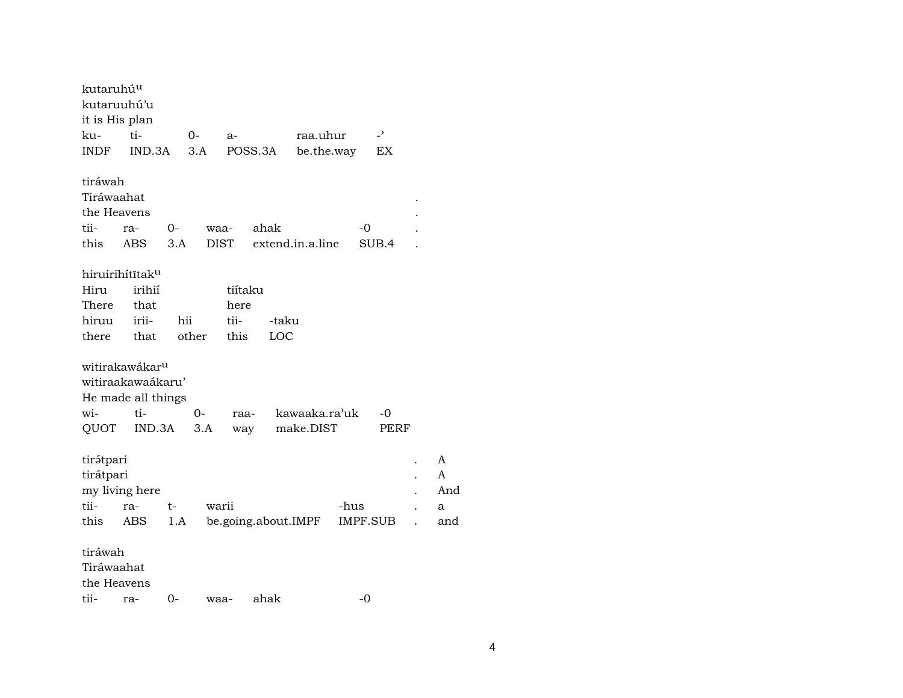| kutaruhú <sup>u</sup>       |                            |       |             |         |       |                     |          |                          |        |
|-----------------------------|----------------------------|-------|-------------|---------|-------|---------------------|----------|--------------------------|--------|
| kutaruuhú'u                 |                            |       |             |         |       |                     |          |                          |        |
| it is His plan              |                            |       |             |         |       |                     |          |                          |        |
| ku-                         | ti-                        | 0-    | $a-$        |         |       | raa.uhur            |          | $\overline{\phantom{a}}$ |        |
| <b>INDF</b>                 | IND.3A                     | 3.A   |             | POSS.3A |       | be.the.way          |          | ΕX                       |        |
| tiráwah                     |                            |       |             |         |       |                     |          |                          |        |
| Tiráwaahat                  |                            |       |             |         |       |                     |          |                          |        |
| the Heavens                 |                            |       |             |         |       |                     |          |                          |        |
| tii-                        | ra-                        | 0-    | waa-        | ahak    |       |                     | -0       |                          |        |
| this                        | ABS                        | 3.A   | <b>DIST</b> |         |       | extend.in.a.line    |          | SUB.4                    |        |
| hiruirihítītak <sup>u</sup> |                            |       |             |         |       |                     |          |                          |        |
| Hiru                        | irihií                     |       |             | tiítaku |       |                     |          |                          |        |
| There                       | that                       |       |             | here    |       |                     |          |                          |        |
| hiruu                       | irii-                      | hii   | tii-        |         | -taku |                     |          |                          |        |
| there                       | that                       | other |             | this    | LOC   |                     |          |                          |        |
|                             | witirakawákar <sup>u</sup> |       |             |         |       |                     |          |                          |        |
|                             | witiraakawaákaru'          |       |             |         |       |                     |          |                          |        |
|                             | He made all things         |       |             |         |       |                     |          |                          |        |
| wi-                         | ti-                        | 0-    |             | raa-    |       | kawaaka.ra'uk       |          | -0                       |        |
| QUOT                        | IND.3A                     |       | 3.A         | way     |       | make.DIST           |          | PERF                     |        |
| tirátpari<br>tirátpari      |                            |       |             |         |       |                     |          |                          | A<br>A |
| my living here              |                            |       |             |         |       |                     |          |                          | And    |
| tii-                        | ra-                        | t-    | warii       |         |       |                     | -hus     |                          | a      |
| this                        | ABS                        | 1.A   |             |         |       | be.going.about.IMPF | IMPF.SUB |                          | and    |
|                             |                            |       |             |         |       |                     |          |                          |        |
| tiráwah                     |                            |       |             |         |       |                     |          |                          |        |
| Tiráwaahat                  |                            |       |             |         |       |                     |          |                          |        |
| the Heavens                 |                            |       |             |         |       |                     |          |                          |        |
| tii-                        | ra-                        | 0-    | waa-        |         | ahak  |                     | -0       |                          |        |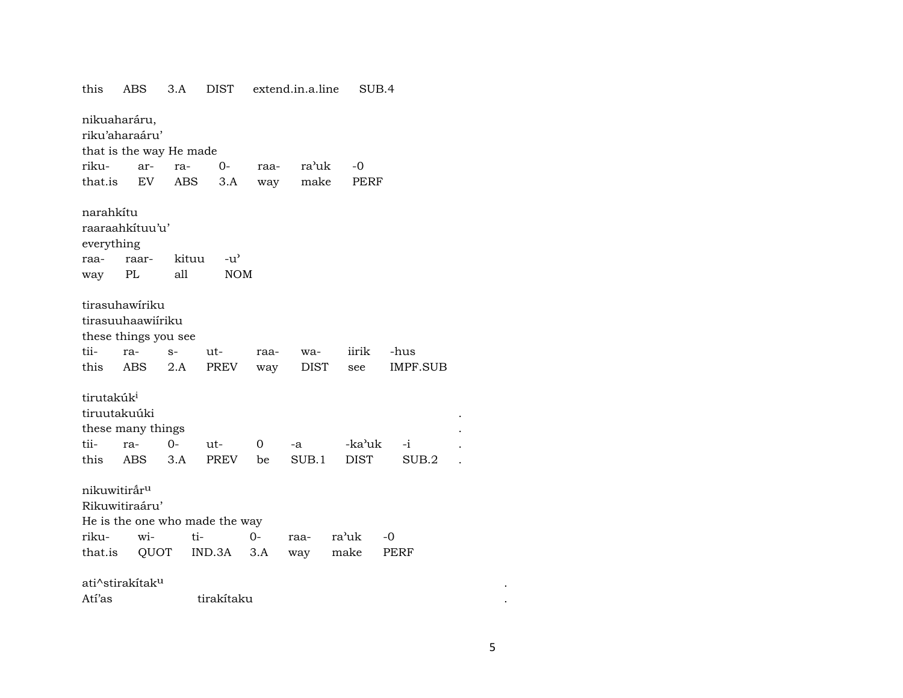| this                                   | ABS                                                         | 3.A   | <b>DIST</b>                    |      | extend.in.a.line | SUB.4  |                 |  |
|----------------------------------------|-------------------------------------------------------------|-------|--------------------------------|------|------------------|--------|-----------------|--|
| nikuaharáru,                           | riku'aharaáru'<br>that is the way He made                   |       |                                |      |                  |        |                 |  |
| riku-                                  |                                                             |       | $0-$                           |      | ra'uk            | -0     |                 |  |
|                                        | ar-                                                         | ra-   |                                | raa- |                  |        |                 |  |
| that.is                                | EV                                                          | ABS   | 3.A                            | way  | make             | PERF   |                 |  |
| narahkítu<br>everything                | raaraahkituu'u'                                             |       |                                |      |                  |        |                 |  |
| raa-                                   | raar-                                                       | kituu | $-u^{\prime}$                  |      |                  |        |                 |  |
| way                                    | PL                                                          | all   | <b>NOM</b>                     |      |                  |        |                 |  |
|                                        | tirasuhawíriku<br>tirasuuhaawiíriku<br>these things you see |       |                                |      |                  |        |                 |  |
| tii-                                   | ra-                                                         | $S-$  | ut-                            | raa- | wa-              | iirik  | -hus            |  |
| this                                   | ABS                                                         | 2.A   | PREV                           |      | DIST             |        | <b>IMPF.SUB</b> |  |
|                                        |                                                             |       |                                | way  |                  | see    |                 |  |
| tirutakúk <sup>i</sup><br>tiruutakuúki | these many things                                           |       |                                |      |                  |        |                 |  |
| tii-                                   | ra-                                                         | $0 -$ | ut-                            | 0    | $-a$             | -ka'uk | $-i$            |  |
| this                                   | ABS                                                         | 3.A   | PREV                           | be   | SUB.1            | DIST   | SUB.2           |  |
| nikuwitirár <sup>u</sup>               | Rikuwitiraáru'                                              |       | He is the one who made the way |      |                  |        |                 |  |
| riku-                                  | wi-                                                         | ti-   |                                | $0-$ | raa-             | ra'uk  | $-0$            |  |
| that.is                                | QUOT                                                        |       | IND.3A                         | 3.A  | way              | make   | PERF            |  |
| Atí'as                                 | ati^stirakítak <sup>u</sup>                                 |       | tirakítaku                     |      |                  |        |                 |  |
|                                        |                                                             |       |                                |      |                  |        |                 |  |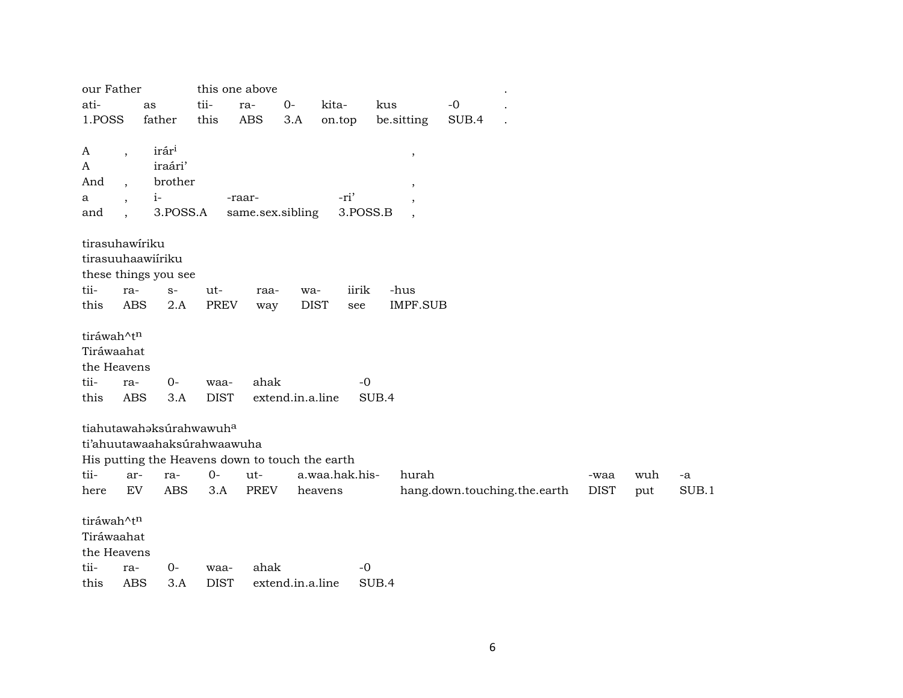| our Father     |                          |                                                 |             | this one above   |                  |                |                          |          |       |                              |             |     |       |  |
|----------------|--------------------------|-------------------------------------------------|-------------|------------------|------------------|----------------|--------------------------|----------|-------|------------------------------|-------------|-----|-------|--|
| ati-           |                          | as                                              | tii-        | ra-              | $O -$            | kita-          | kus                      | $-0$     |       |                              |             |     |       |  |
| 1.POSS         |                          | father                                          | this        | <b>ABS</b>       | 3.A              | on.top         | be.sitting               |          | SUB.4 |                              |             |     |       |  |
|                |                          |                                                 |             |                  |                  |                |                          |          |       |                              |             |     |       |  |
| A              | $\overline{ }$           | irár <sup>i</sup>                               |             |                  |                  |                | $\overline{\phantom{a}}$ |          |       |                              |             |     |       |  |
| A              |                          | iraári'                                         |             |                  |                  |                |                          |          |       |                              |             |     |       |  |
| And            | $\ddot{\phantom{0}}$     | brother                                         |             |                  |                  |                | $\overline{\phantom{a}}$ |          |       |                              |             |     |       |  |
| a              | $\overline{\phantom{a}}$ | $i-$                                            |             | -raar-           |                  | -ri'           | $\cdot$                  |          |       |                              |             |     |       |  |
| and            |                          | 3.POSS.A                                        |             | same.sex.sibling |                  | 3.POSS.B       | $\overline{\phantom{a}}$ |          |       |                              |             |     |       |  |
|                |                          |                                                 |             |                  |                  |                |                          |          |       |                              |             |     |       |  |
| tirasuhawiriku |                          |                                                 |             |                  |                  |                |                          |          |       |                              |             |     |       |  |
|                |                          | tirasuuhaawiíriku                               |             |                  |                  |                |                          |          |       |                              |             |     |       |  |
|                |                          | these things you see                            |             |                  |                  |                |                          |          |       |                              |             |     |       |  |
| tii-           | ra-                      | $S-$                                            | ut-         | raa-             | wa-              | iirik          | -hus                     |          |       |                              |             |     |       |  |
| this           | <b>ABS</b>               | 2.A                                             | <b>PREV</b> | way              | <b>DIST</b>      | see            |                          | IMPF.SUB |       |                              |             |     |       |  |
|                |                          |                                                 |             |                  |                  |                |                          |          |       |                              |             |     |       |  |
| tiráwah^tn     |                          |                                                 |             |                  |                  |                |                          |          |       |                              |             |     |       |  |
| Tiráwaahat     |                          |                                                 |             |                  |                  |                |                          |          |       |                              |             |     |       |  |
| the Heavens    |                          |                                                 |             |                  |                  |                |                          |          |       |                              |             |     |       |  |
| tii-           | ra-                      | $0-$                                            | waa-        | ahak             |                  | $-0$           |                          |          |       |                              |             |     |       |  |
| this           | ABS                      | 3.A                                             | <b>DIST</b> |                  | extend.in.a.line |                | SUB.4                    |          |       |                              |             |     |       |  |
|                |                          |                                                 |             |                  |                  |                |                          |          |       |                              |             |     |       |  |
|                |                          | tiahutawahaksúrahwawuh <sup>a</sup>             |             |                  |                  |                |                          |          |       |                              |             |     |       |  |
|                |                          | ti'ahuutawaahaksúrahwaawuha                     |             |                  |                  |                |                          |          |       |                              |             |     |       |  |
|                |                          |                                                 |             |                  |                  |                |                          |          |       |                              |             |     |       |  |
|                |                          | His putting the Heavens down to touch the earth |             |                  |                  |                |                          |          |       |                              |             |     |       |  |
| tii-           | ar-                      | ra-                                             | $0-$        | ut-              |                  | a.waa.hak.his- |                          | hurah    |       |                              | -waa        | wuh | -a    |  |
| here           | ${\rm EV}$               | ABS                                             | 3.A         | PREV             | heavens          |                |                          |          |       | hang.down.touching.the.earth | <b>DIST</b> | put | SUB.1 |  |
|                |                          |                                                 |             |                  |                  |                |                          |          |       |                              |             |     |       |  |
| tiráwah^tn     |                          |                                                 |             |                  |                  |                |                          |          |       |                              |             |     |       |  |
| Tiráwaahat     |                          |                                                 |             |                  |                  |                |                          |          |       |                              |             |     |       |  |
| the Heavens    |                          |                                                 |             |                  |                  |                |                          |          |       |                              |             |     |       |  |
| tii-           | ra-                      | $0-$                                            | waa-        | ahak             |                  | $-0$           |                          |          |       |                              |             |     |       |  |
| this           | <b>ABS</b>               | 3.A                                             | <b>DIST</b> |                  | extend.in.a.line |                | SUB.4                    |          |       |                              |             |     |       |  |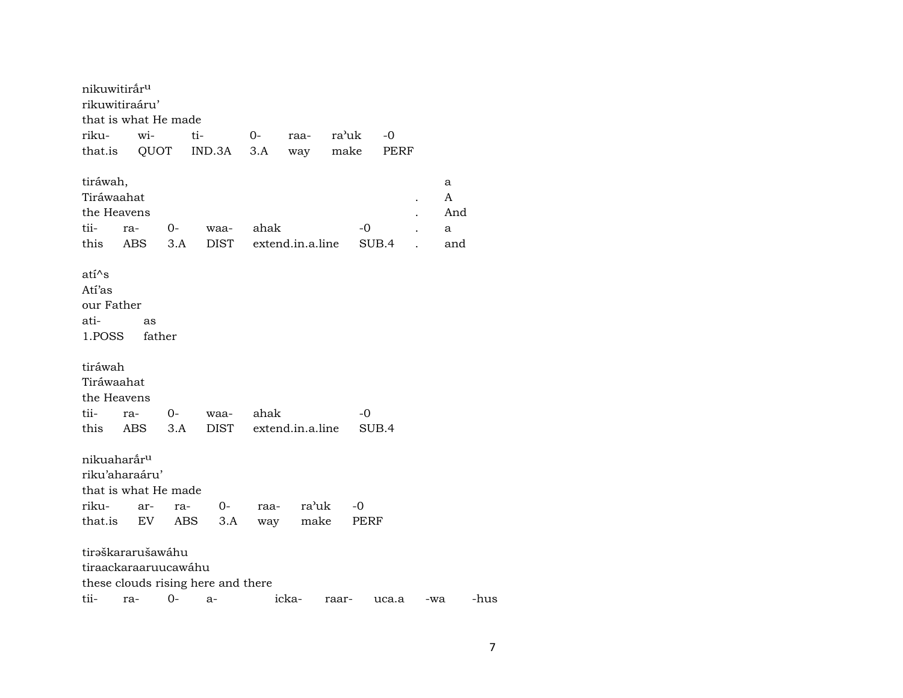| nikuwitirắr <sup>u</sup> |                      |      |                                    |         |                  |       |       |       |     |     |      |
|--------------------------|----------------------|------|------------------------------------|---------|------------------|-------|-------|-------|-----|-----|------|
|                          | rikuwitiraáru'       |      |                                    |         |                  |       |       |       |     |     |      |
|                          | that is what He made |      |                                    |         |                  |       |       |       |     |     |      |
| riku-                    | wi-                  | ti-  |                                    | $0-$    | raa-             | ra'uk |       | $-0$  |     |     |      |
| that.is                  | QUOT                 |      | IND.3A                             | 3.A     | way              | make  |       | PERF  |     |     |      |
| tiráwah,                 |                      |      |                                    |         |                  |       |       |       |     | a   |      |
| Tiráwaahat               |                      |      |                                    |         |                  |       |       |       |     | A   |      |
| the Heavens              |                      |      |                                    |         |                  |       |       |       |     | And |      |
| tii-                     | ra-                  | $O-$ | waa- ahak                          |         |                  |       | $-0$  |       |     | a   |      |
|                          | this ABS 3.A         |      | DIST extend.in.a.line              |         |                  |       | SUB.4 |       |     | and |      |
| $ati^s$                  |                      |      |                                    |         |                  |       |       |       |     |     |      |
| Atí'as                   |                      |      |                                    |         |                  |       |       |       |     |     |      |
| our Father               |                      |      |                                    |         |                  |       |       |       |     |     |      |
| ati-                     | as                   |      |                                    |         |                  |       |       |       |     |     |      |
| 1.POSS                   | father               |      |                                    |         |                  |       |       |       |     |     |      |
| tiráwah                  |                      |      |                                    |         |                  |       |       |       |     |     |      |
| Tiráwaahat               |                      |      |                                    |         |                  |       |       |       |     |     |      |
| the Heavens              |                      |      |                                    |         |                  |       |       |       |     |     |      |
| tii-                     | ra-                  | $O-$ | waa- ahak                          |         |                  |       | -0    |       |     |     |      |
| this                     | ABS                  | 3.A  | <b>DIST</b>                        |         | extend.in.a.line |       | SUB.4 |       |     |     |      |
| nikuaharår <sup>u</sup>  |                      |      |                                    |         |                  |       |       |       |     |     |      |
|                          | riku'aharaáru'       |      |                                    |         |                  |       |       |       |     |     |      |
|                          | that is what He made |      |                                    |         |                  |       |       |       |     |     |      |
| riku-                    | ar-                  | ra-  | $O-$                               |         | raa- ra'uk       |       | $-0$  |       |     |     |      |
|                          | that.is EV           | ABS  |                                    | 3.A way | make             |       | PERF  |       |     |     |      |
|                          | tirəškararušawáhu    |      |                                    |         |                  |       |       |       |     |     |      |
|                          | tiraackaraaruucawáhu |      |                                    |         |                  |       |       |       |     |     |      |
|                          |                      |      | these clouds rising here and there |         |                  |       |       |       |     |     |      |
| tii-                     | ra-                  | $0-$ | $a-$                               |         | icka-            | raar- |       | uca.a | -wa |     | -hus |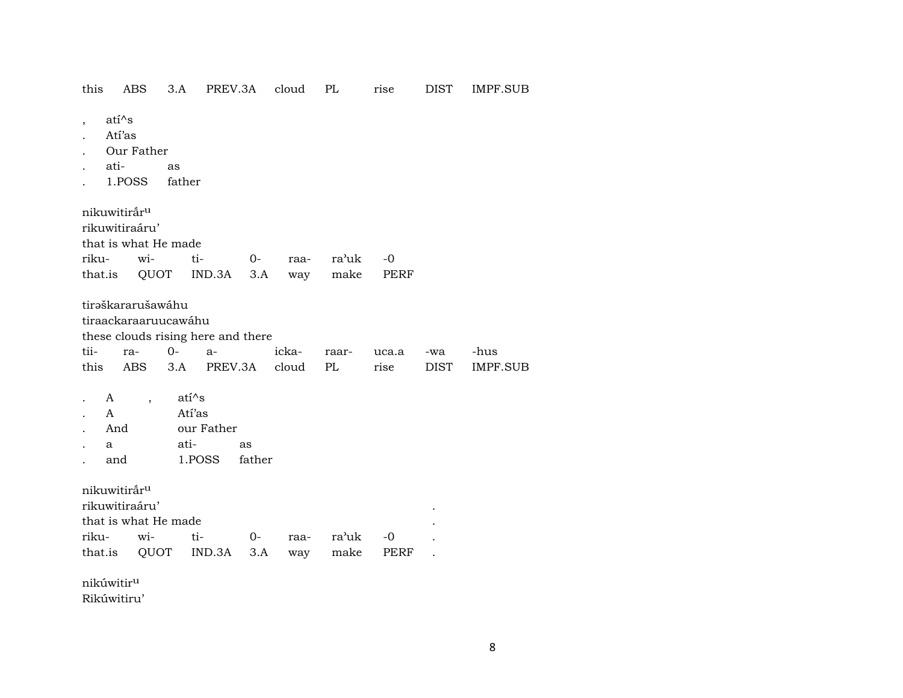this ABS 3.A PREV.3A cloud PL rise DIST IMPF.SUB

- , atí^s
- . Atí'as
- . Our Father
- . ati- as
- . 1.POSS father

nikuwitirár<sup>u</sup> rikuwitiraáru' that is what He made riku- wi- ti- 0- raa- ra"uk -0 that.is QUOT IND.3A 3.A way make PERF

tirəškararušawáhu tiraackaraaruucawáhu these clouds rising here and there tii- ra- 0- a- icka- raar- uca.a -wa -hus this ABS 3.A PREV.3A cloud PL rise DIST IMPF.SUB

- . A ,  $ati^s s$
- . A Atí'as
- . And our Father
- . a ati- as
- . and 1.POSS father

nikuwitirår<sup>u</sup>

rikuwitiraáru' .

| that is what He made |                                         |  |  |  |  |  |  |  |  |
|----------------------|-----------------------------------------|--|--|--|--|--|--|--|--|
|                      | riku- wi- ti- 0- raa- ra'uk -0          |  |  |  |  |  |  |  |  |
|                      | that.is QUOT IND.3A 3.A way make PERF . |  |  |  |  |  |  |  |  |

nikúwitirµ

Rikúwitiru'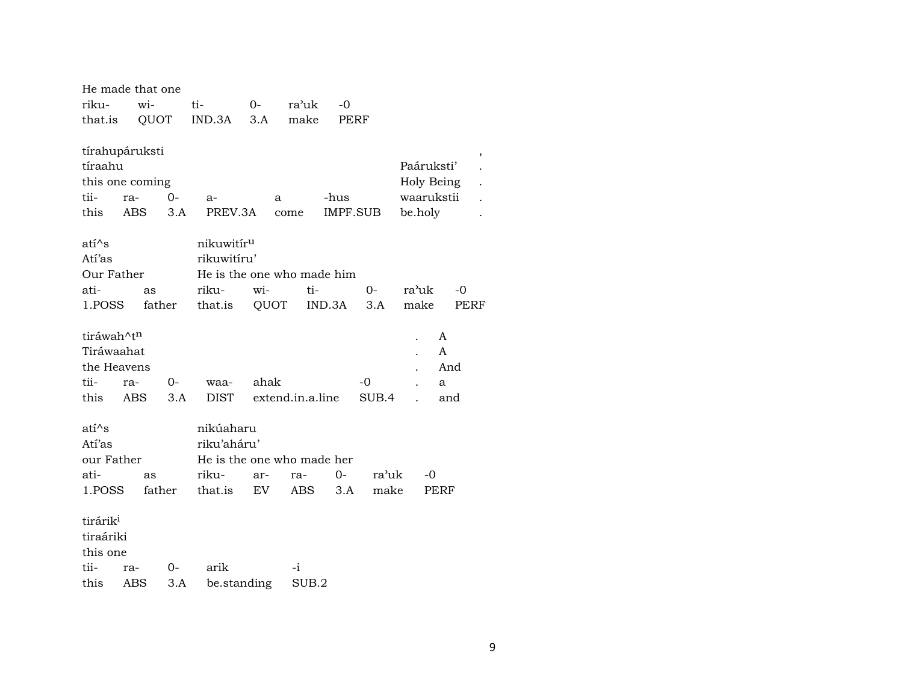|                           |            | He made that one |                            |             |                  |        |      |          |            |      |
|---------------------------|------------|------------------|----------------------------|-------------|------------------|--------|------|----------|------------|------|
| riku-                     |            | wi-              | ti-                        | $0-$        | ra'uk            |        | -0   |          |            |      |
| that.is                   |            | QUOT             | IND.3A                     | 3.A         | make             |        | PERF |          |            |      |
| tírahupáruksti<br>tíraahu |            |                  |                            |             |                  |        |      |          | Paáruksti' |      |
| this one coming           |            |                  |                            |             |                  |        |      |          | Holy Being |      |
| tii-                      | ra-        | $0-$             | $a-$                       |             | a                |        | -hus |          | waarukstii |      |
| this                      | <b>ABS</b> | 3.A              | PREV.3A                    |             | come             |        |      | IMPF.SUB | be.holy    |      |
| $ati^s$                   |            |                  | nikuwitíru                 |             |                  |        |      |          |            |      |
| Atí'as                    |            |                  | rikuwitíru'                |             |                  |        |      |          |            |      |
| Our Father                |            |                  | He is the one who made him |             |                  |        |      |          |            |      |
| ati-                      |            | as               | riku-                      | wi-         |                  | ti-    |      | $0-$     | ra'uk      | $-0$ |
| 1.POSS                    |            | father           | that.is                    |             | QUOT             | IND.3A |      | 3.A      | make       | PERF |
|                           |            |                  |                            |             |                  |        |      |          |            |      |
| tiráwah^tn                |            |                  |                            |             |                  |        |      |          |            | A    |
| Tiráwaahat                |            |                  |                            |             |                  |        |      |          |            | A    |
| the Heavens               |            |                  |                            |             |                  |        |      |          |            | And  |
| tii-                      | ra-        | $0-$             | waa-                       | ahak        |                  |        |      | -0       |            | a    |
| this                      | ABS        | 3.A              | DIST                       |             | extend.in.a.line |        |      | SUB.4    |            | and  |
| $ati^s$                   |            |                  | nikúaharu                  |             |                  |        |      |          |            |      |
| Atí'as                    |            |                  | riku'aháru'                |             |                  |        |      |          |            |      |
| our Father                |            |                  | He is the one who made her |             |                  |        |      |          |            |      |
| ati-                      |            | as               | riku-                      | ar-         | ra-              |        | $0-$ | ra'uk    | -0         |      |
| 1.POSS                    |            | father           | that.is                    | EV          | ABS              |        | 3.A  | make     |            | PERF |
| tirárik <sup>i</sup>      |            |                  |                            |             |                  |        |      |          |            |      |
| tiraáriki                 |            |                  |                            |             |                  |        |      |          |            |      |
| this one                  |            |                  |                            |             |                  |        |      |          |            |      |
| tii-                      | ra-        | $0-$             | arik                       |             | $-i$             |        |      |          |            |      |
| this                      | <b>ABS</b> | 3.A              |                            | be.standing |                  | SUB.2  |      |          |            |      |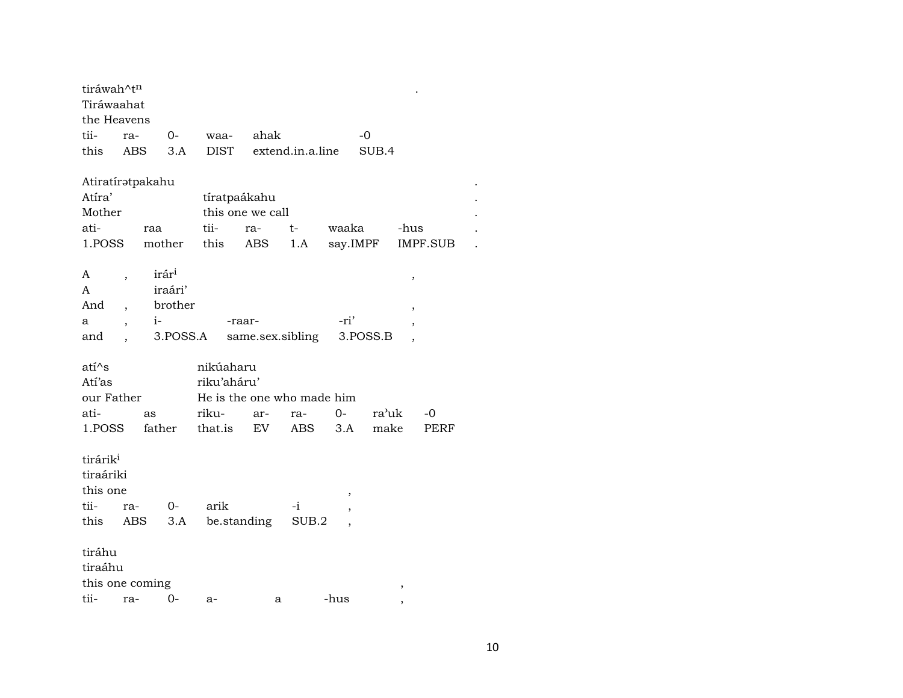| tiráwah^t <sup>n</sup> |                          |                   |                            |             |                  |                          |          |          |  |
|------------------------|--------------------------|-------------------|----------------------------|-------------|------------------|--------------------------|----------|----------|--|
| Tiráwaahat             |                          |                   |                            |             |                  |                          |          |          |  |
| the Heavens            |                          |                   |                            |             |                  |                          |          |          |  |
| tii-                   | ra-                      | 0-                | waa-                       | ahak        |                  |                          | -0       |          |  |
| this                   | ABS                      | 3.A               | <b>DIST</b>                |             | extend.in.a.line |                          | SUB.4    |          |  |
| Atiratíratpakahu       |                          |                   |                            |             |                  |                          |          |          |  |
| Atíra'                 |                          |                   | tíratpaákahu               |             |                  |                          |          |          |  |
| Mother                 |                          |                   | this one we call           |             |                  |                          |          |          |  |
| ati-                   |                          | raa               | tii-                       | ra-         | $t-$             | waaka                    |          | -hus     |  |
| 1.POSS                 |                          | mother            | this                       | ABS         |                  | 1.A say.IMPF             |          | IMPF.SUB |  |
| A                      |                          | irár <sup>i</sup> |                            |             |                  |                          |          | $\,$     |  |
| A                      |                          | iraári'           |                            |             |                  |                          |          |          |  |
| And                    | $\overline{\phantom{a}}$ | brother           |                            |             |                  |                          |          | $\, ,$   |  |
| a                      |                          | $i$ - $\sim$      |                            | -raar-      |                  | -ri'                     |          | ,        |  |
| and                    |                          | 3.POSS.A          |                            |             | same.sex.sibling |                          | 3.POSS.B |          |  |
| $ati^s$                |                          |                   | nikúaharu                  |             |                  |                          |          |          |  |
| Atí'as                 |                          |                   | riku'aháru'                |             |                  |                          |          |          |  |
| our Father             |                          |                   | He is the one who made him |             |                  |                          |          |          |  |
| ati-                   |                          | as                | riku-                      | ar-         | ra-              | $0-$                     | ra'uk    | -0       |  |
| 1.POSS                 |                          | father            | that.is                    | EV          | ABS              | 3.A                      | make     | PERF     |  |
|                        |                          |                   |                            |             |                  |                          |          |          |  |
| tirárik <sup>i</sup>   |                          |                   |                            |             |                  |                          |          |          |  |
| tiraáriki              |                          |                   |                            |             |                  |                          |          |          |  |
| this one               |                          |                   |                            |             |                  | $\overline{\phantom{a}}$ |          |          |  |
| tii-                   | ra-                      | 0-                | arik                       |             | $-i$             |                          |          |          |  |
| this                   | ABS                      | 3.A               |                            | be.standing | SUB.2            |                          |          |          |  |
| tiráhu                 |                          |                   |                            |             |                  |                          |          |          |  |
| tiraáhu                |                          |                   |                            |             |                  |                          |          |          |  |
| this one coming        |                          |                   |                            |             |                  |                          |          | ,        |  |
| tii-                   | ra-                      | $0-$              | $a-$                       | a           |                  | -hus                     |          |          |  |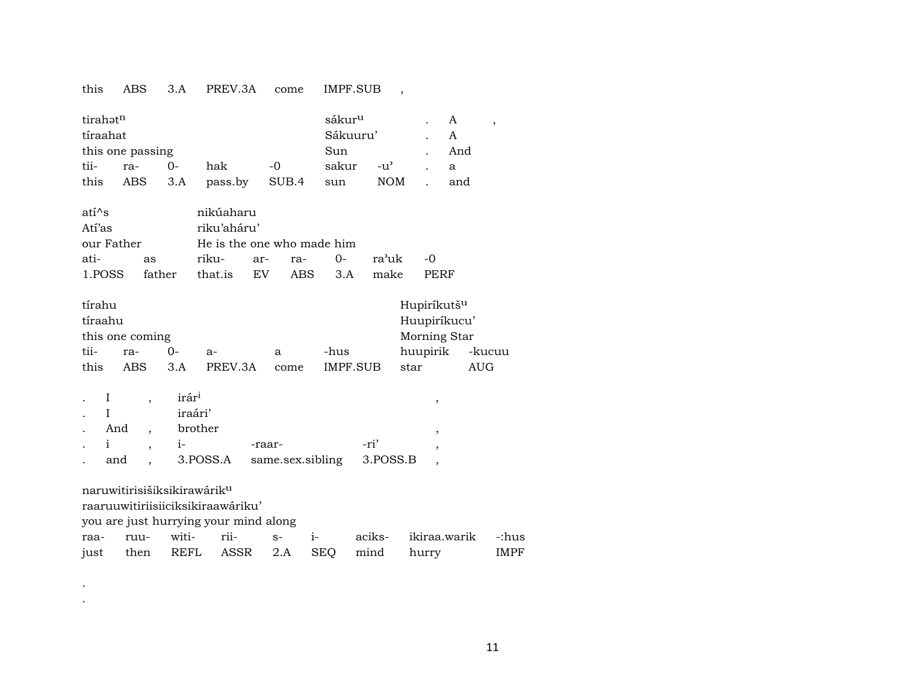## 3.A PREV.3A come IMPF.SUB, this ABS

| tirahət <sup>n</sup> |                  |    |         |       | sákur <sup>u</sup> |        | A   |  |
|----------------------|------------------|----|---------|-------|--------------------|--------|-----|--|
| tíraahat             |                  |    |         |       | Sákuuru'           |        | A   |  |
|                      | this one passing |    |         |       | Sun                |        | And |  |
| tii-                 | ra-              | () | hak     | -0    | sakur              | $-11'$ | a   |  |
| this                 | ABS 3.A          |    | pass.by | SUB.4 | sun                | NOM    | and |  |

| $ati^s$                           |    | nikúaharu                  |  |          |      |
|-----------------------------------|----|----------------------------|--|----------|------|
| Atí'as                            |    | riku'aháru'                |  |          |      |
| our Father                        |    | He is the one who made him |  |          |      |
| ati-                              | as | riku- ar- ra- 0-           |  | ra'uk -0 |      |
| 1. POSS father that is EV ABS 3.A |    |                            |  | make     | PERF |

| tírahu  |                 |             |         |      |          | Hupiríkutš <sup>u</sup> |     |
|---------|-----------------|-------------|---------|------|----------|-------------------------|-----|
| tíraahu |                 |             |         |      |          | Huupiríkucu'            |     |
|         | this one coming |             |         |      |          | Morning Star            |     |
| tii-    | ra-             | ()          | $a -$   | a    | -hus     | huupirik -kucuu         |     |
| this    | ABS.            | $\beta$ . A | PREV.3A | come | IMPF.SUB | star                    | AUG |

| $\mathbf{1}$ |      | irár <sup>i</sup><br>iraári' |                                        |      |  |
|--------------|------|------------------------------|----------------------------------------|------|--|
| $\sim$       | And, | brother                      |                                        |      |  |
| $\cdot$ 1    |      | $1 -$                        | -raar-                                 | -ri' |  |
|              | and  |                              | , 3. POSS.A same.sex.sibling 3. POSS.B |      |  |

naruwitirisišiksikirawárik<sup>u</sup>

 $\sim$  $\langle \cdot \rangle$ 

raaruuwitiriisiiciksikiraawáriku'

you are just hurrying your mind along

|  |  |  | raa- ruu- witi- rii-  s-  i-  aciks- ikiraa.warik -:hus |      |
|--|--|--|---------------------------------------------------------|------|
|  |  |  | just then REFL ASSR 2.A SEQ mind hurry                  | IMPF |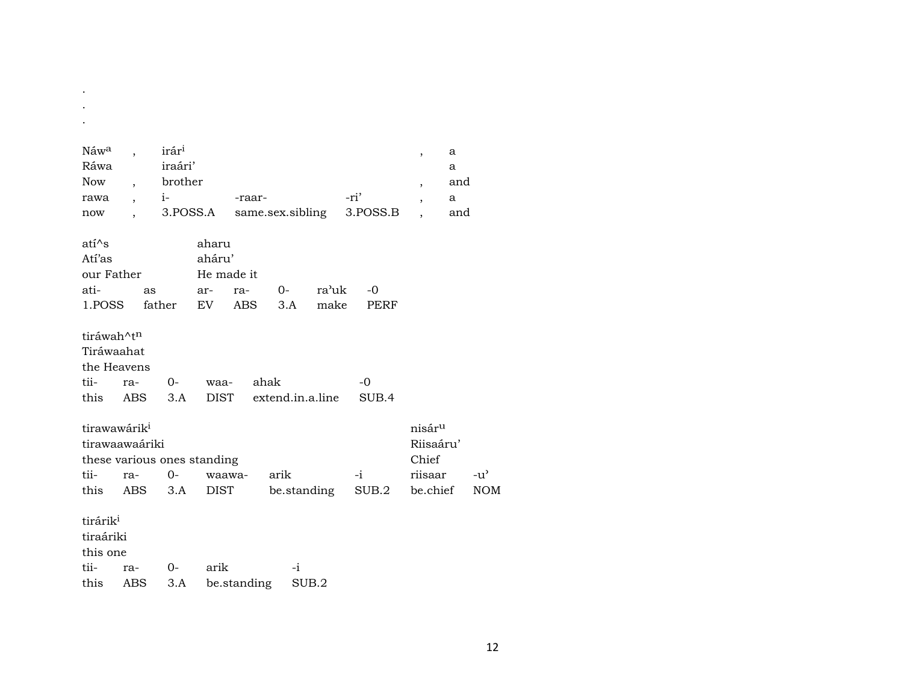| Náw <sup>a</sup><br>Ráwa<br><b>Now</b><br>rawa<br>now                                     | $\overline{\phantom{a}}$ | irár <sup>i</sup><br>iraári'<br>brother<br>$i$ - $i$ | 3.POSS.A                             | -raar-        | same.sex.sibling         |               | -ri'<br>3.POSS.B | $\overline{\phantom{a}}$<br>$\overline{\phantom{a}}$<br>$\overline{\phantom{a}}$ | a<br>a<br>and<br>a<br>and |                             |
|-------------------------------------------------------------------------------------------|--------------------------|------------------------------------------------------|--------------------------------------|---------------|--------------------------|---------------|------------------|----------------------------------------------------------------------------------|---------------------------|-----------------------------|
| $ati^s$<br>Atí'as<br>our Father<br>ati-<br>1.POSS                                         | as                       | father                                               | aharu<br>aháru'<br>He made it<br>ar- | ra-<br>EV ABS | $0-$<br>3.A              | ra'uk<br>make | $-0$<br>PERF     |                                                                                  |                           |                             |
| tiráwah^tn<br>Tiráwaahat<br>the Heavens<br>tii-<br>this                                   | ra-<br>ABS               | $O-$<br>3.A                                          | waa-<br><b>DIST</b>                  |               | ahak<br>extend.in.a.line |               | $-0$<br>SUB.4    |                                                                                  |                           |                             |
| tirawawárik <sup>i</sup><br>tirawaawaáriki<br>these various ones standing<br>tii-<br>this | ra-<br>ABS               | $O-$<br>3.A                                          | waawa-                               | DIST          | arik<br>be.standing      |               | -i<br>SUB.2      | nisár <sup>u</sup><br>Riisaáru'<br>Chief<br>riisaar<br>be.chief                  |                           | $-u^{\prime}$<br><b>NOM</b> |
| tirárik <sup>i</sup><br>tiraáriki<br>this one<br>tii-<br>this                             | ra-<br>ABS               | $0-$<br>3.A                                          | arik                                 | be.standing   | $-i$                     | SUB.2         |                  |                                                                                  |                           |                             |

 $\sim 100$  $\sim$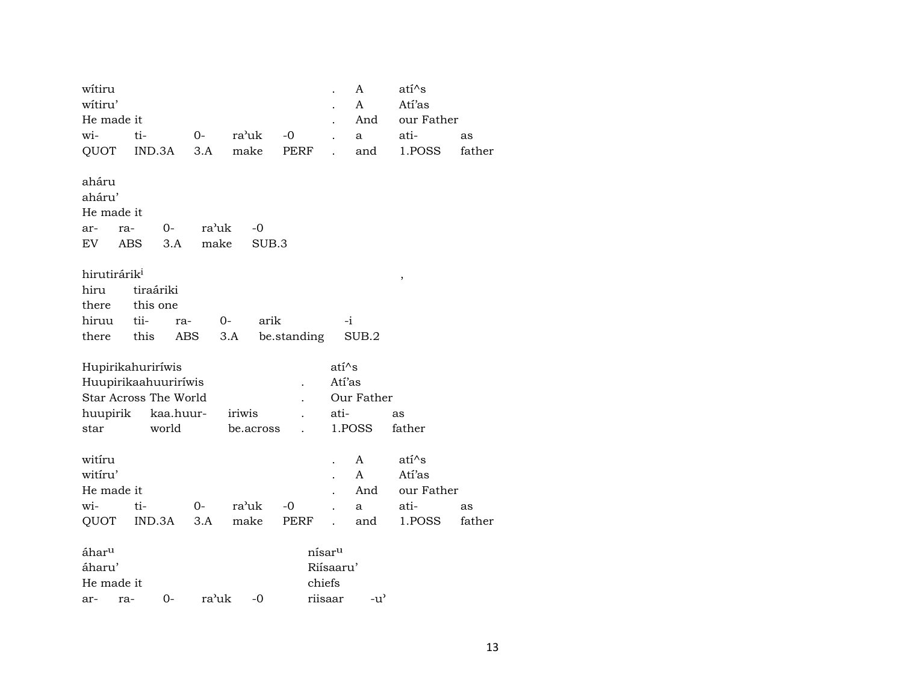| witiru                   |                       |       |           |             |                    | A             | ati <sup>^</sup> s |        |
|--------------------------|-----------------------|-------|-----------|-------------|--------------------|---------------|--------------------|--------|
| witiru'                  |                       |       |           |             |                    | A             | Atí'as             |        |
| He made it               |                       |       |           |             |                    | And           | our Father         |        |
| wi-                      | ti-                   | $0-$  | ra'uk     | $-0$        |                    | a             | ati-               | as     |
| QUOT                     | IND.3A                | 3.A   | make      | PERF        |                    | and           | 1.POSS             | father |
|                          |                       |       |           |             |                    |               |                    |        |
| aháru                    |                       |       |           |             |                    |               |                    |        |
| aháru'                   |                       |       |           |             |                    |               |                    |        |
|                          |                       |       |           |             |                    |               |                    |        |
| He made it               |                       |       |           |             |                    |               |                    |        |
| ar-<br>ra-               | 0-                    | ra'uk | $-0$      |             |                    |               |                    |        |
| EV<br>ABS                | 3.A                   | make  | SUB.3     |             |                    |               |                    |        |
|                          |                       |       |           |             |                    |               |                    |        |
| hirutirárik <sup>i</sup> |                       |       |           |             |                    |               | ,                  |        |
| hiru                     | tiraáriki             |       |           |             |                    |               |                    |        |
| there                    | this one              |       |           |             |                    |               |                    |        |
| hiruu                    | tii-<br>ra-           | $O -$ | arik      |             |                    | -i            |                    |        |
| there                    | this                  | ABS   | 3.A       | be.standing |                    | SUB.2         |                    |        |
|                          |                       |       |           |             |                    |               |                    |        |
| Hupirikahuriríwis        |                       |       |           |             | atí^s              |               |                    |        |
|                          | Huupirikaahuuriríwis  |       |           |             | Atí'as             |               |                    |        |
|                          | Star Across The World |       |           |             |                    | Our Father    |                    |        |
|                          |                       |       |           |             |                    |               |                    |        |
| huupirik                 | kaa.huur-             |       | iriwis    |             | ati-               |               | as                 |        |
| star                     | world                 |       | be.across |             |                    | 1.POSS        | father             |        |
|                          |                       |       |           |             |                    |               |                    |        |
| witiru                   |                       |       |           |             |                    | A             | $ati^s$            |        |
| witiru'                  |                       |       |           |             |                    | A             | Atí'as             |        |
| He made it               |                       |       |           |             |                    | And           | our Father         |        |
| wi-                      | ti-                   | 0-    | ra'uk     | $-0$        |                    | a             | ati-               | as     |
| QUOT                     | IND.3A                | 3.A   | make      | PERF        |                    | and           | 1.POSS             | father |
|                          |                       |       |           |             |                    |               |                    |        |
| áhar <sup>u</sup>        |                       |       |           |             | nísar <sup>u</sup> |               |                    |        |
| áharu'                   |                       |       |           |             | Riísaaru'          |               |                    |        |
| He made it               |                       |       |           |             | chiefs             |               |                    |        |
| ar-<br>ra-               | 0-                    | ra'uk | $-0$      |             | riisaar            | $-u^{\prime}$ |                    |        |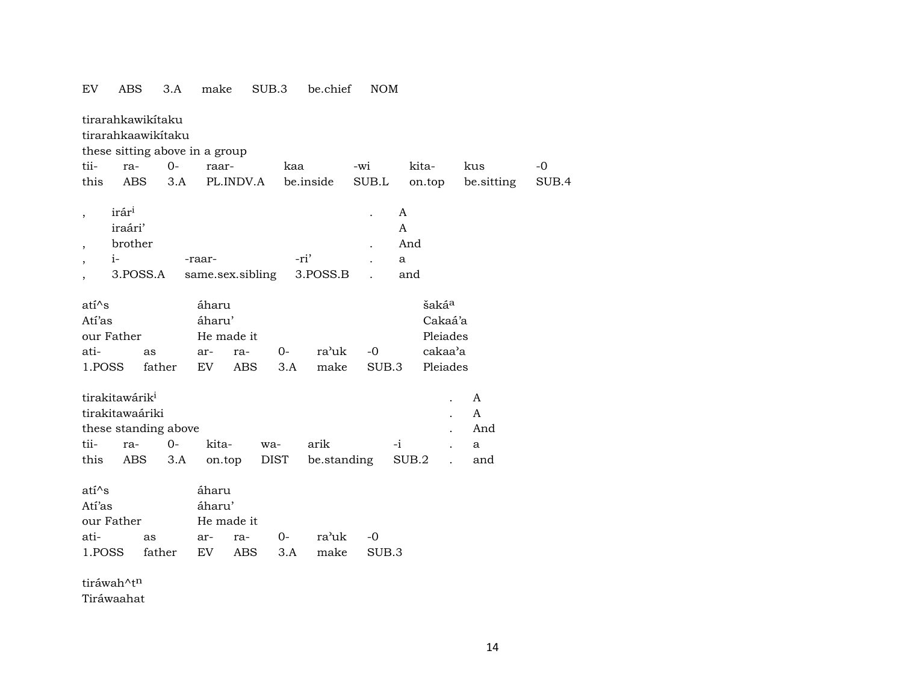## EV ABS 3.A make SUB.3 be.chief NOM

|                            |                   | tirarahkawikitaku<br>tirarahkaawikitaku |      |                                |                     |      |             |       |       |                   |            |       |
|----------------------------|-------------------|-----------------------------------------|------|--------------------------------|---------------------|------|-------------|-------|-------|-------------------|------------|-------|
|                            |                   |                                         |      | these sitting above in a group |                     |      |             |       |       |                   |            |       |
| tii-                       | ra-               |                                         | $0-$ | raar-                          |                     | kaa  |             | -wi   |       | kita-             | kus        | $-0$  |
| this                       |                   | ABS.                                    | 3.A  |                                | PL.INDV.A be.inside |      |             | SUB.L |       | on.top            | be sitting | SUB.4 |
|                            | irár <sup>i</sup> |                                         |      |                                |                     |      |             |       | A     |                   |            |       |
|                            | iraári'           |                                         |      |                                |                     |      |             |       | A     |                   |            |       |
| $\overline{ }$             | brother           |                                         |      |                                |                     |      |             |       | And   |                   |            |       |
| $\overline{ }$             | $i-$              |                                         |      | -raar-                         |                     |      | -ri'        |       | a     |                   |            |       |
|                            |                   | 3.POSS.A                                |      |                                | same.sex.sibling    |      | 3.POSS.B    |       | and   |                   |            |       |
|                            |                   |                                         |      |                                |                     |      |             |       |       |                   |            |       |
| $ati^s$                    |                   |                                         |      | áharu                          |                     |      |             |       |       | šaká <sup>a</sup> |            |       |
| Atí'as                     |                   |                                         |      | áharu'                         |                     |      |             |       |       | Cakaá'a           |            |       |
| our Father                 |                   |                                         |      | He made it                     |                     |      |             |       |       | Pleiades          |            |       |
| ati-                       |                   | as.                                     |      | ar-                            | ra-                 | $O-$ | ra'uk       | $-0$  |       | cakaa'a           |            |       |
| 1.POSS                     |                   | father                                  |      | EV                             | ABS                 | 3.A  | make        |       | SUB.3 | Pleiades          |            |       |
|                            |                   |                                         |      |                                |                     |      |             |       |       |                   |            |       |
| tirakitawárik <sup>i</sup> |                   |                                         |      |                                |                     |      |             |       |       |                   | A          |       |
|                            |                   | tirakitawaáriki                         |      |                                |                     |      |             |       |       |                   | A          |       |
|                            |                   | these standing above                    |      |                                |                     |      |             |       |       |                   | And        |       |
| tii-                       | ra-               |                                         | $0-$ | kita-                          |                     | wa-  | arik        |       | $-i$  |                   | a          |       |
| this                       |                   | ABS                                     | 3.A  |                                | on.top              | DIST | be.standing |       | SUB.2 |                   | and        |       |
|                            |                   |                                         |      |                                |                     |      |             |       |       |                   |            |       |
| $ati^s$                    |                   |                                         |      | áharu                          |                     |      |             |       |       |                   |            |       |
| Atí'as                     |                   |                                         |      | áharu'                         |                     |      |             |       |       |                   |            |       |
| our Father                 |                   |                                         |      | He made it                     |                     |      |             |       |       |                   |            |       |
| ati-                       |                   | as.                                     |      | ar-                            | ra-                 | 0-   | ra'uk       | $-0$  |       |                   |            |       |
| 1.POSS                     |                   | father                                  |      | EV                             | <b>ABS</b>          | 3.A  | make        | SUB.3 |       |                   |            |       |
|                            |                   |                                         |      |                                |                     |      |             |       |       |                   |            |       |

tiráwah^t $^{\rm n}$ 

Tiráwaahat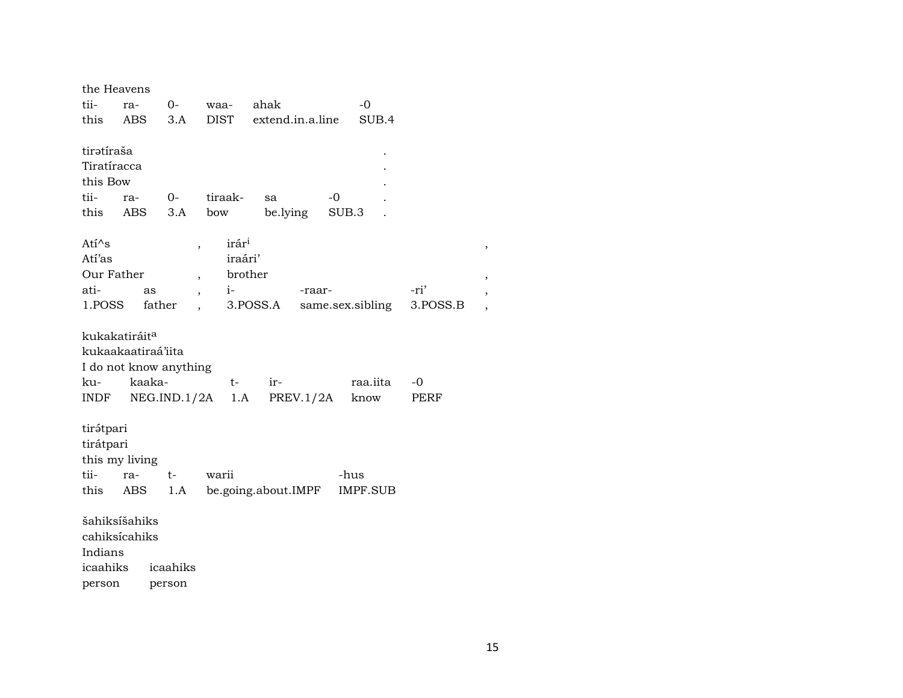| the Heavens               |              |                                               |                     |                  |          |   |
|---------------------------|--------------|-----------------------------------------------|---------------------|------------------|----------|---|
| tii-<br>ra-               | $0-$         | waa-                                          | ahak                | $-0$             |          |   |
| this<br>ABS               | 3.A          | DIST                                          | extend.in.a.line    | SUB.4            |          |   |
|                           |              |                                               |                     |                  |          |   |
| tiratíraša                |              |                                               |                     |                  |          |   |
| Tiratíracca               |              |                                               |                     |                  |          |   |
| this Bow                  |              |                                               |                     |                  |          |   |
| tii-<br>ra-               | $0-$         | tiraak-                                       | sa                  | $-0$             |          |   |
| ABS<br>this               | 3.A          | bow                                           | be.lying            | SUB.3            |          |   |
|                           |              |                                               |                     |                  |          |   |
| Ati^s                     |              | irár <sup>i</sup><br>$\overline{\phantom{a}}$ |                     |                  |          | , |
| Atí'as                    |              | iraári'                                       |                     |                  |          |   |
| Our Father                |              | brother<br>$\overline{\phantom{a}}$           |                     |                  |          |   |
| ati-                      | as           | $i$ - $\sim$                                  | -raar-              |                  | -ri'     |   |
| 1.POSS                    | father       |                                               | 3.POSS.A            | same.sex.sibling | 3.POSS.B |   |
|                           |              |                                               |                     |                  |          |   |
| kukakatiráit <sup>a</sup> |              |                                               |                     |                  |          |   |
| kukaakaatiraá'iita        |              |                                               |                     |                  |          |   |
| I do not know anything    |              |                                               |                     |                  |          |   |
| ku-                       | kaaka-       | t-                                            | ir-                 | raa.iita         | -0       |   |
| INDF                      | NEG.IND.1/2A | 1.A                                           | PREV.1/2A           | know             | PERF     |   |
|                           |              |                                               |                     |                  |          |   |
| tirátpari                 |              |                                               |                     |                  |          |   |
| tirátpari                 |              |                                               |                     |                  |          |   |
| this my living            |              |                                               |                     |                  |          |   |
| tii-<br>ra-               | $t-$         | warii                                         |                     | -hus             |          |   |
| this<br>ABS               | 1.A          |                                               | be.going.about.IMPF | IMPF.SUB         |          |   |
|                           |              |                                               |                     |                  |          |   |
| šahiksíšahiks             |              |                                               |                     |                  |          |   |
| cahiksícahiks             |              |                                               |                     |                  |          |   |
| Indians                   |              |                                               |                     |                  |          |   |
| icaahiks                  | icaahiks     |                                               |                     |                  |          |   |
| person                    | person       |                                               |                     |                  |          |   |

15

 $\overline{\phantom{a}}$ 

 $\overline{\phantom{a}}$  $\,$  ,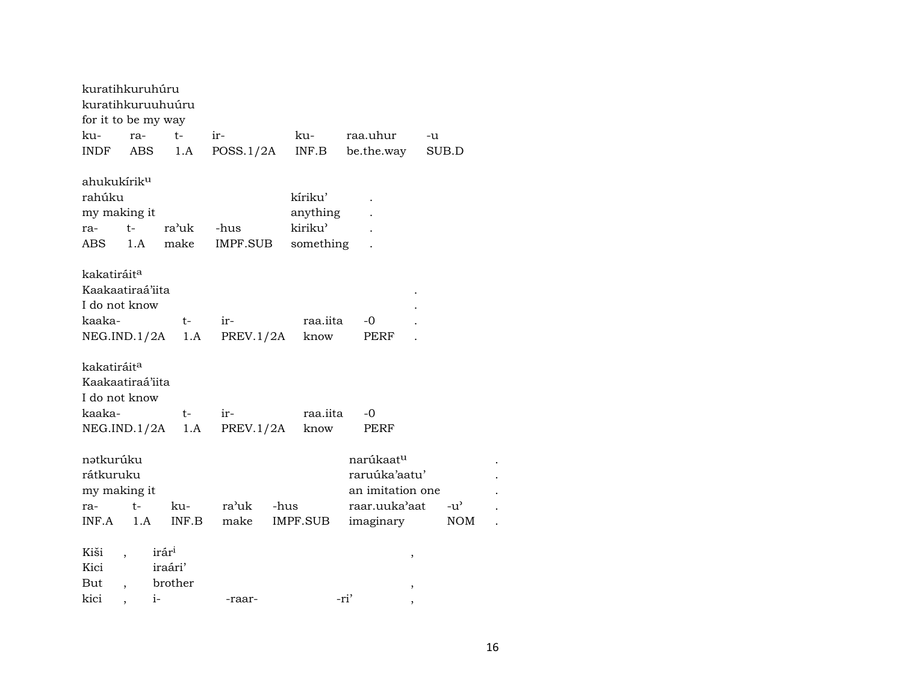| kuratihkuruhúru<br>kuratihkuruuhuúru<br>for it to be my way |      |                   |           |           |                       |               |  |
|-------------------------------------------------------------|------|-------------------|-----------|-----------|-----------------------|---------------|--|
| ku-                                                         | ra-  | $t-$              | ir-       | ku-       | raa.uhur              | $-u$          |  |
| INDF                                                        | ABS  | 1.A               | POSS.1/2A | INF.B     | be.the.way            | SUB.D         |  |
| ahukukírik <sup>u</sup>                                     |      |                   |           |           |                       |               |  |
| rahúku                                                      |      |                   |           | kíriku'   |                       |               |  |
| my making it                                                |      |                   |           | anything  |                       |               |  |
| ra-                                                         | $t-$ | ra'uk             | -hus      | kiriku'   |                       |               |  |
| ABS                                                         | 1.A  | make              | IMPF.SUB  | something |                       |               |  |
| kakatiráit <sup>a</sup>                                     |      |                   |           |           |                       |               |  |
| Kaakaatiraá'iita                                            |      |                   |           |           |                       |               |  |
| I do not know                                               |      |                   |           |           |                       |               |  |
| kaaka-                                                      |      | $t-$              | $ir-$     | raa.iita  | $-0$                  |               |  |
| NEG.IND.1/2A                                                |      | 1.A               | PREV.1/2A | know      | PERF                  |               |  |
| kakatiráit <sup>a</sup>                                     |      |                   |           |           |                       |               |  |
| Kaakaatiraá'iita                                            |      |                   |           |           |                       |               |  |
| I do not know                                               |      |                   |           |           |                       |               |  |
| kaaka-                                                      |      | $t-$              | ir-       | raa.iita  | -0                    |               |  |
| NEG.IND.1/2A                                                |      | 1.A               | PREV.1/2A | know      | PERF                  |               |  |
| nətkurúku                                                   |      |                   |           |           | narúkaat <sup>u</sup> |               |  |
| rátkuruku                                                   |      |                   |           |           | raruúka'aatu'         |               |  |
| my making it                                                |      |                   |           |           | an imitation one      |               |  |
| ra-                                                         | $t-$ | ku-               | ra'uk     | -hus      | raar.uuka'aat         | $-u^{\prime}$ |  |
| INF.A                                                       | 1.A  | INF.B             | make      | IMPF.SUB  | imaginary             | <b>NOM</b>    |  |
|                                                             |      |                   |           |           |                       |               |  |
| Kiši                                                        |      | irár <sup>i</sup> |           |           |                       |               |  |
| Kici                                                        |      | iraári'           |           |           |                       | $\, ,$        |  |
| But                                                         |      | brother           |           |           |                       |               |  |
| kici                                                        |      | $i-$              | -raar-    |           | -ri'                  | $\, ,$        |  |
|                                                             |      |                   |           |           |                       |               |  |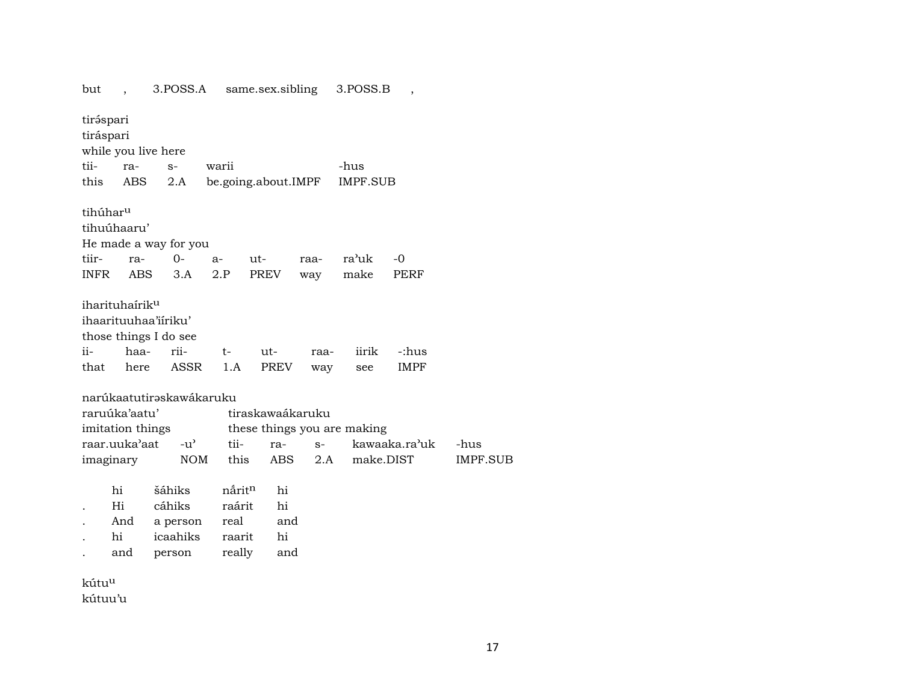| but                    |                            | 3.POSS.A                 |                     | same.sex.sibling |      | 3.POSS.B                    | $\overline{\phantom{a}}$ |                 |
|------------------------|----------------------------|--------------------------|---------------------|------------------|------|-----------------------------|--------------------------|-----------------|
| tiráspari<br>tiráspari | while you live here        |                          |                     |                  |      |                             |                          |                 |
| tii-                   | ra-                        | $S-$                     | warii               |                  |      | -hus                        |                          |                 |
| this                   | ABS                        | 2.A                      | be.going.about.IMPF |                  |      | <b>IMPF.SUB</b>             |                          |                 |
|                        |                            |                          |                     |                  |      |                             |                          |                 |
| tihúharu               |                            |                          |                     |                  |      |                             |                          |                 |
| tihuúhaaru'            |                            |                          |                     |                  |      |                             |                          |                 |
|                        |                            | He made a way for you    |                     |                  |      |                             |                          |                 |
| tiir-                  | ra-                        | $O -$                    | $a-$                | ut-              | raa- | ra'uk                       | -0                       |                 |
| INFR                   | ABS                        | 3.A                      | 2.P                 | PREV             | way  | make                        | PERF                     |                 |
|                        | iharituhaírik <sup>u</sup> | ihaarituuhaa'iiriku'     |                     |                  |      |                             |                          |                 |
|                        |                            | those things I do see    |                     |                  |      |                             |                          |                 |
| $ii -$                 | haa-                       | rii-                     | t-                  | ut-              | raa- | iirik                       | -:hus                    |                 |
| that                   | here                       | ASSR                     | 1.A                 | PREV             | way  | see                         | <b>IMPF</b>              |                 |
|                        |                            |                          |                     |                  |      |                             |                          |                 |
|                        |                            | narúkaatutiraskawákaruku |                     |                  |      |                             |                          |                 |
|                        | raruúka'aatu'              |                          |                     | tiraskawaákaruku |      |                             |                          |                 |
|                        | imitation things           |                          |                     |                  |      | these things you are making |                          |                 |
|                        | raar.uuka'aat              | $-u^{\prime}$            | tii-                | ra-              | $S-$ |                             | kawaaka.ra'uk            | -hus            |
| imaginary              |                            | <b>NOM</b>               | this                | <b>ABS</b>       | 2.A  |                             | make.DIST                | <b>IMPF.SUB</b> |
|                        |                            |                          |                     |                  |      |                             |                          |                 |
|                        | hi                         | šáhiks                   | nåritn              | hi               |      |                             |                          |                 |
|                        | Hi                         | cáhiks                   | raárit              | hi               |      |                             |                          |                 |
|                        | And<br>hi                  | a person<br>icaahiks     | real<br>raarit      | and<br>hi        |      |                             |                          |                 |
|                        | and                        | person                   | really              | and              |      |                             |                          |                 |
|                        |                            |                          |                     |                  |      |                             |                          |                 |
| kútu <sup>u</sup>      |                            |                          |                     |                  |      |                             |                          |                 |
| kútuu'u                |                            |                          |                     |                  |      |                             |                          |                 |
|                        |                            |                          |                     |                  |      |                             |                          |                 |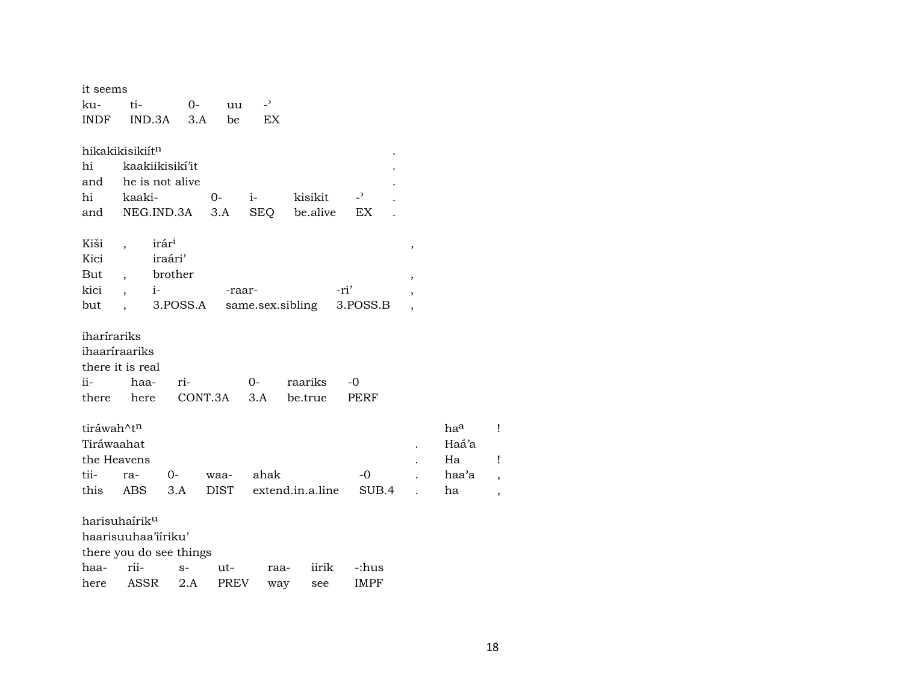| it seems      |                           |                   |             |                |                  |             |                          |       |
|---------------|---------------------------|-------------------|-------------|----------------|------------------|-------------|--------------------------|-------|
| ku-           | ti-                       | $O-$              | uu          | $\overline{a}$ |                  |             |                          |       |
| INDF          | IND.3A                    | 3.A               | be          | EX             |                  |             |                          |       |
|               | hikakikisikiítn           |                   |             |                |                  |             |                          |       |
| hi            |                           |                   |             |                |                  |             |                          |       |
| and           | kaakiikisikí'it           |                   |             |                |                  |             |                          |       |
| hi            | he is not alive           |                   |             |                | kisikit          | $-2$        |                          |       |
|               | kaaki-                    |                   | 0-          | $i$ -          |                  |             |                          |       |
|               | and NEG.IND.3A 3.A        |                   |             | <b>SEQ</b>     | be.alive         | EX          |                          |       |
| Kiši          | $\overline{\phantom{a}}$  | irár <sup>i</sup> |             |                |                  |             | $\,$                     |       |
| Kici          |                           | iraári'           |             |                |                  |             |                          |       |
| But           | $\overline{\phantom{a}}$  | brother           |             |                |                  |             | $\overline{\phantom{a}}$ |       |
| kici          |                           | $i$ - $i$         | -raar-      |                |                  | -ri'        | $\overline{ }$           |       |
| but           |                           | 3.POSS.A          |             |                | same.sex.sibling | 3.POSS.B    |                          |       |
|               |                           |                   |             |                |                  |             |                          |       |
| iharírariks   |                           |                   |             |                |                  |             |                          |       |
| ihaaríraariks |                           |                   |             |                |                  |             |                          |       |
|               | there it is real          |                   |             |                |                  |             |                          |       |
| ii-           | haa-                      | ri-               |             | $0-$           | raariks          | -0          |                          |       |
|               | there here                |                   | CONT.3A     | 3.A            | be.true          | <b>PERF</b> |                          |       |
|               |                           |                   |             |                |                  |             |                          |       |
| tiráwah^tn    |                           |                   |             |                |                  |             |                          | haa   |
| Tiráwaahat    |                           |                   |             |                |                  |             |                          | Haá'a |
| the Heavens   |                           |                   |             |                |                  |             |                          | Ha    |
| tii-          | ra-                       | 0-                | waa-        | ahak           |                  | $-0$        |                          | haa'a |
| this          | ABS                       | 3.A               | <b>DIST</b> |                | extend.in.a.line | SUB.4       |                          | ha    |
|               |                           |                   |             |                |                  |             |                          |       |
|               | harisuhaírik <sup>u</sup> |                   |             |                |                  |             |                          |       |
|               | haarisuuhaa'iiriku'       |                   |             |                |                  |             |                          |       |
|               | there you do see things   |                   |             |                |                  |             |                          |       |
| haa-          | rii-                      | $S-$              | ut-         | raa-           | iirik            | -:hus       |                          |       |
| here          | ASSR                      | 2.A               | <b>PREV</b> | way            | see              | <b>IMPF</b> |                          |       |

 $\vert \vert$ 

 $\mathbf{I}% _{0}\left| \mathbf{I}_{1}\right|$  $\overline{\phantom{a}}$  $\overline{\phantom{a}}$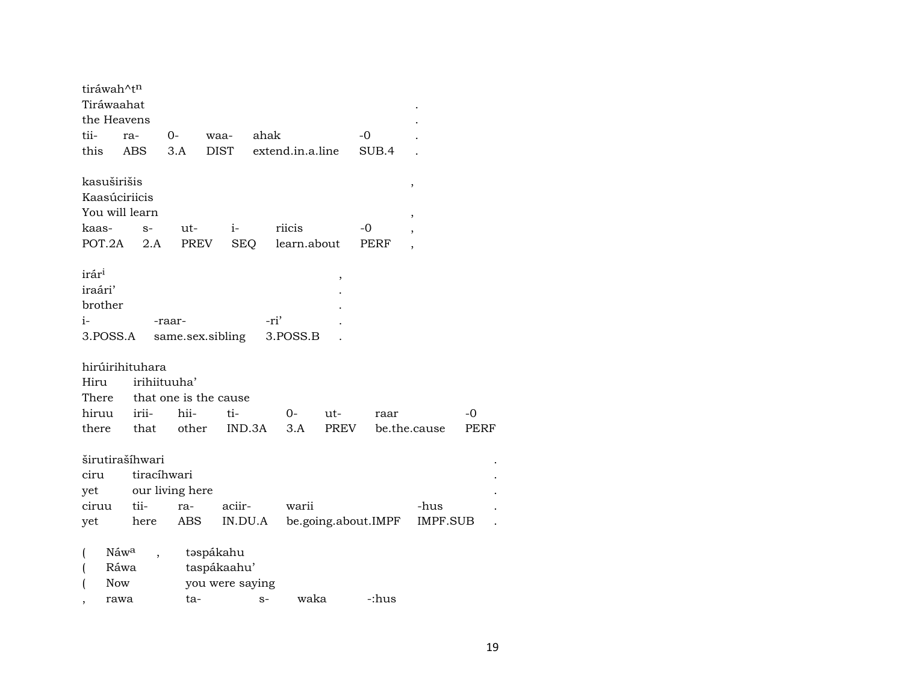| tiráwah^tn        |                 |                       |                 |                  |                     |       |                          |             |
|-------------------|-----------------|-----------------------|-----------------|------------------|---------------------|-------|--------------------------|-------------|
| Tiráwaahat        |                 |                       |                 |                  |                     |       |                          |             |
|                   | the Heavens     |                       |                 |                  |                     |       |                          |             |
| tii-              | ra-             | $0-$                  | waa-            | ahak             |                     | -0    |                          |             |
| this              | ABS             | 3.A                   | <b>DIST</b>     | extend.in.a.line |                     | SUB.4 |                          |             |
| kasuširišis       |                 |                       |                 |                  |                     |       | ,                        |             |
|                   | Kaasúciriicis   |                       |                 |                  |                     |       |                          |             |
|                   | You will learn  |                       |                 |                  |                     |       | $\, ,$                   |             |
| kaas-             | $S-$            | ut-                   | $i-$            | riicis           |                     | $-0$  | $\overline{\phantom{a}}$ |             |
| POT.2A            | 2.A             | PREV                  | <b>SEQ</b>      | learn.about      |                     | PERF  |                          |             |
| irár <sup>i</sup> |                 |                       |                 |                  | ,                   |       |                          |             |
| iraári'           |                 |                       |                 |                  |                     |       |                          |             |
| brother           |                 |                       |                 |                  |                     |       |                          |             |
| $i-$              |                 | -raar-                |                 | -ri'             |                     |       |                          |             |
| 3.POSS.A          |                 | same.sex.sibling      |                 | 3.POSS.B         |                     |       |                          |             |
|                   | hirúirihituhara |                       |                 |                  |                     |       |                          |             |
| Hiru              |                 | irihiituuha'          |                 |                  |                     |       |                          |             |
| There             |                 | that one is the cause |                 |                  |                     |       |                          |             |
| hiruu             | irii-           | hii-                  | ti-             | 0-               | ut-                 | raar  |                          | -0          |
| there             | that            | other                 | IND.3A          | 3.A              | PREV                |       | be.the.cause             | <b>PERF</b> |
|                   | širutirašíhwari |                       |                 |                  |                     |       |                          |             |
| ciru              |                 | tiracíhwari           |                 |                  |                     |       |                          |             |
| yet               |                 | our living here       |                 |                  |                     |       |                          |             |
| ciruu             | tii-            | ra-                   | aciir-          | warii            |                     |       | -hus                     |             |
| yet               | here            | ABS                   | IN.DU.A         |                  | be.going.about.IMPF |       | IMPF.SUB                 |             |
|                   | Náwa            |                       | təspákahu       |                  |                     |       |                          |             |
|                   | Ráwa            |                       | taspákaahu'     |                  |                     |       |                          |             |
|                   | Now             |                       | you were saying |                  |                     |       |                          |             |
|                   | rawa            | ta-                   |                 | $S-$             | waka                | -:hus |                          |             |
|                   |                 |                       |                 |                  |                     |       |                          |             |

 $\ddot{\phantom{a}}$  $\bullet$  $\ddot{\phantom{a}}$  $\sim$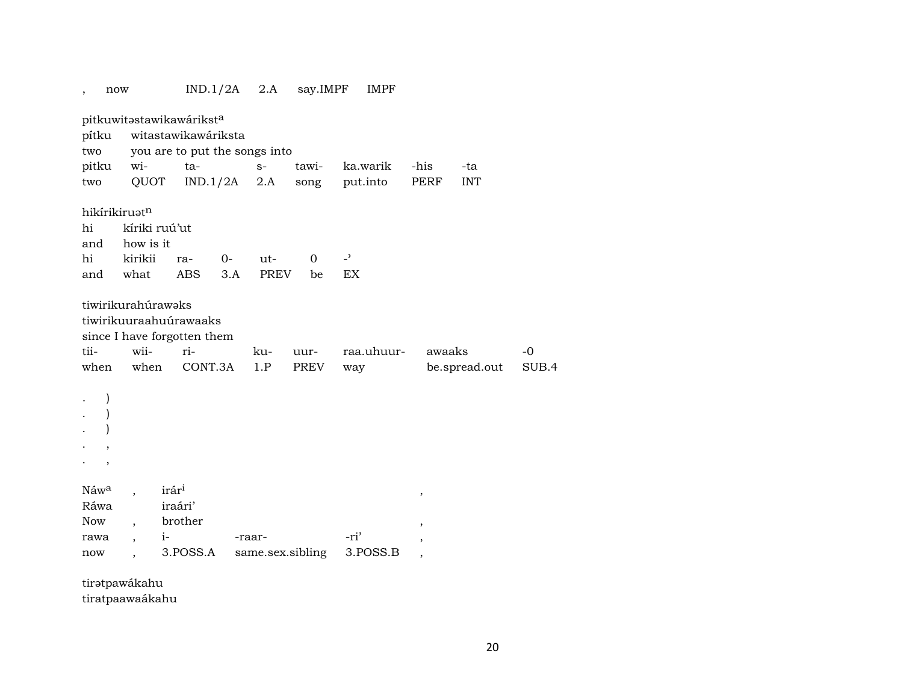|                                                       | now                                                            | IND.1/2A                                                                                            |             | 2.A                        | say.IMPF      | <b>IMPF</b>          |                                         |                   |               |
|-------------------------------------------------------|----------------------------------------------------------------|-----------------------------------------------------------------------------------------------------|-------------|----------------------------|---------------|----------------------|-----------------------------------------|-------------------|---------------|
| pítku<br>two<br>pitku<br>two                          | wi-<br>QUOT                                                    | pitkuwitastawikawáriksta<br>witastawikawáriksta<br>you are to put the songs into<br>ta-<br>IND.1/2A |             | $S-$<br>2.A                | tawi-<br>song | ka.warik<br>put.into | -his<br><b>PERF</b>                     | -ta<br><b>INT</b> |               |
| hi<br>and<br>hi<br>and                                | hikirikiruatn<br>kíriki ruú'ut<br>how is it<br>kirikii<br>what | ra-<br><b>ABS</b>                                                                                   | $O-$<br>3.A | ut-<br>PREV                | 0<br>be       | $\overline{a}$<br>EX |                                         |                   |               |
| tii-<br>when                                          | tiwirikurahúrawaks<br>wii-<br>when                             | tiwirikuuraahuúrawaaks<br>since I have forgotten them<br>ri-<br>CONT.3A                             |             | ku-<br>1.P                 | uur-<br>PREV  | raa.uhuur-<br>way    | awaaks                                  | be.spread.out     | $-0$<br>SUB.4 |
| $\overline{\phantom{a}}$                              |                                                                |                                                                                                     |             |                            |               |                      |                                         |                   |               |
| Náw <sup>a</sup><br>Ráwa<br><b>Now</b><br>rawa<br>now | $\overline{\phantom{a}}$<br>$\overline{ }$                     | irár <sup>i</sup><br>iraári'<br>brother<br>$i-$<br>3.POSS.A                                         |             | -raar-<br>same.sex.sibling |               | -ri'<br>3.POSS.B     | ,<br>,<br>,<br>$\overline{\phantom{a}}$ |                   |               |

tirətpawákahu tiratpaawaákahu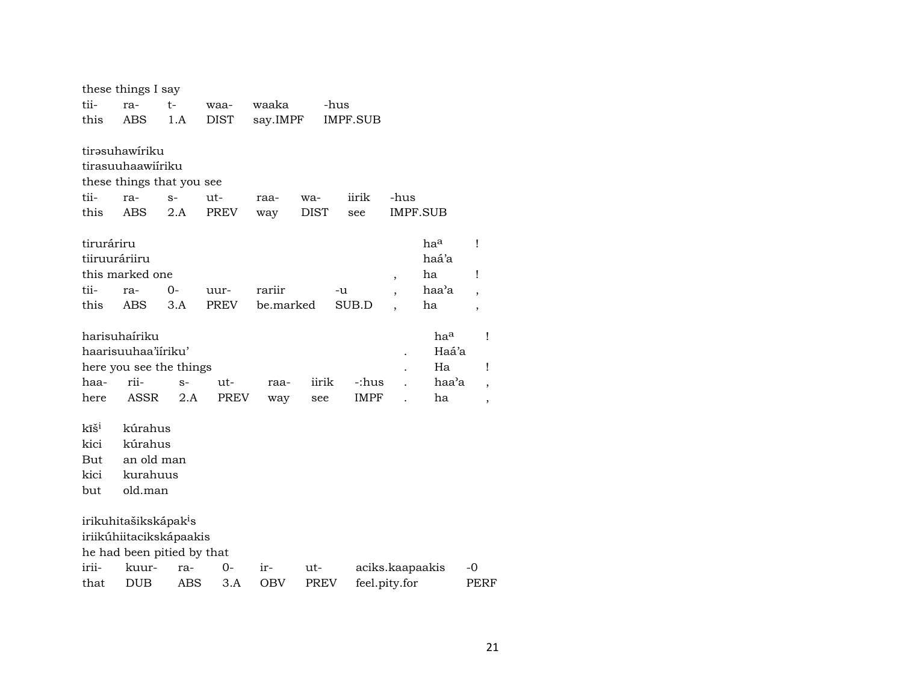|                  | these things I say                |      |             |           |             |                 |                 |                 |                          |
|------------------|-----------------------------------|------|-------------|-----------|-------------|-----------------|-----------------|-----------------|--------------------------|
| tii-             | ra-                               | t-   | waa-        | waaka     |             | -hus            |                 |                 |                          |
| this             | ABS                               | 1.A  | <b>DIST</b> | say.IMPF  |             | <b>IMPF.SUB</b> |                 |                 |                          |
|                  |                                   |      |             |           |             |                 |                 |                 |                          |
|                  | tirəsuhawiriku                    |      |             |           |             |                 |                 |                 |                          |
|                  | tirasuuhaawiíriku                 |      |             |           |             |                 |                 |                 |                          |
|                  | these things that you see         |      |             |           |             |                 |                 |                 |                          |
| tii-             | ra-                               | $S-$ | ut-         | raa-      | wa-         | iirik           | -hus            |                 |                          |
| this             | <b>ABS</b>                        | 2.A  | <b>PREV</b> | way       | <b>DIST</b> | see             | <b>IMPF.SUB</b> |                 |                          |
| tiruráriru       |                                   |      |             |           |             |                 |                 | ha <sup>a</sup> | Ţ                        |
| tiiruuráriiru    |                                   |      |             |           |             |                 |                 | haá'a           |                          |
|                  | this marked one                   |      |             |           |             |                 | ,               | ha              | Ţ                        |
| tii-             | ra-                               | 0-   | uur-        | rariir    |             | -u              |                 | haa'a           | $\overline{\phantom{a}}$ |
| this             | ABS                               | 3.A  | <b>PREV</b> | be.marked |             | SUB.D           |                 | ha              | $\overline{\phantom{a}}$ |
|                  | harisuhaíriku                     |      |             |           |             |                 |                 | haa             | Ţ                        |
|                  | haarisuuhaa'iiriku'               |      |             |           |             |                 |                 | Haá'a           |                          |
|                  | here you see the things           |      |             |           |             |                 |                 | Ha              | Ţ                        |
| haa-             | rii-                              | $S-$ | ut-         | raa-      | iirik       | -:hus           |                 | haa'a           | $\overline{ }$           |
| here             | ASSR                              | 2.A  | <b>PREV</b> | way       | see         | IMPF            |                 | ha              | ,                        |
| kĩš <sup>i</sup> | kúrahus                           |      |             |           |             |                 |                 |                 |                          |
| kici             | kúrahus                           |      |             |           |             |                 |                 |                 |                          |
| But              | an old man                        |      |             |           |             |                 |                 |                 |                          |
| kici             | kurahuus                          |      |             |           |             |                 |                 |                 |                          |
| but              | old.man                           |      |             |           |             |                 |                 |                 |                          |
|                  | irikuhitašikskápak <sup>i</sup> s |      |             |           |             |                 |                 |                 |                          |
|                  | iriikúhiitacikskápaakis           |      |             |           |             |                 |                 |                 |                          |
|                  | he had been pitied by that        |      |             |           |             |                 |                 |                 |                          |
| irii-            | kuur-                             | ra-  | 0-          | ir-       | ut-         |                 | aciks.kaapaakis |                 | -0                       |
| that             | <b>DUB</b>                        | ABS  | 3.A         | OBV       | PREV        |                 | feel.pity.for   |                 | <b>PERF</b>              |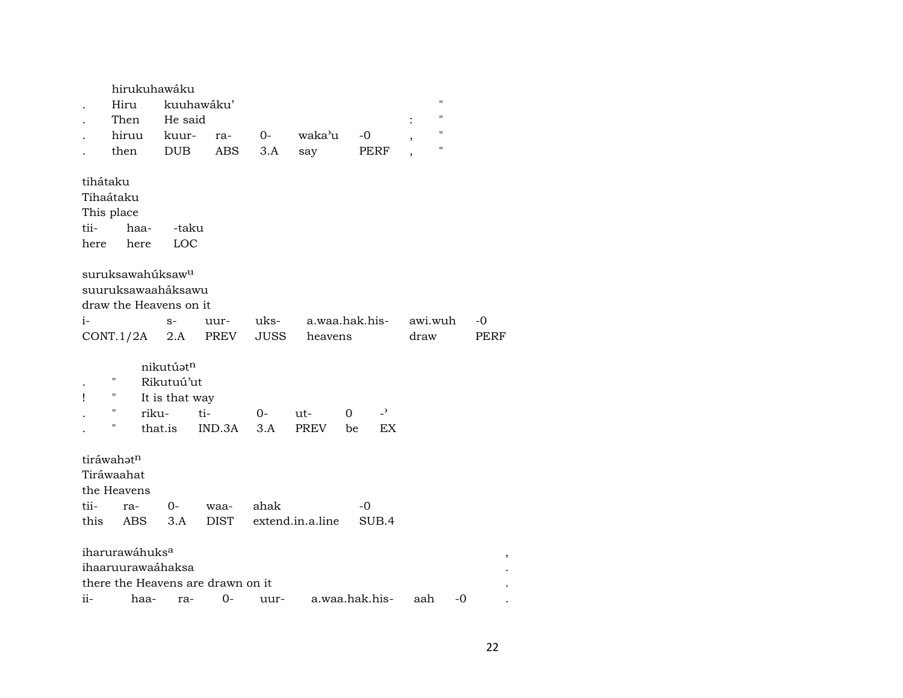|          |                            |         | hirukuhawáku                 |                                   |      |                  |                |                          |                |                    |      |
|----------|----------------------------|---------|------------------------------|-----------------------------------|------|------------------|----------------|--------------------------|----------------|--------------------|------|
|          | Hiru                       |         |                              | kuuhawáku'                        |      |                  |                |                          |                | $\blacksquare$     |      |
|          | Then                       |         | He said                      |                                   |      |                  |                |                          | $\ddot{\cdot}$ | "                  |      |
|          | hiruu                      |         | kuur-                        | ra-                               | $O-$ | waka'u           | $-0$           |                          |                | "                  |      |
|          | then                       |         | <b>DUB</b>                   | <b>ABS</b>                        | 3.A  | say              |                | PERF                     |                | $\pmb{\mathsf{H}}$ |      |
| tihátaku |                            |         |                              |                                   |      |                  |                |                          |                |                    |      |
|          | Tihaátaku                  |         |                              |                                   |      |                  |                |                          |                |                    |      |
|          | This place                 |         |                              |                                   |      |                  |                |                          |                |                    |      |
| tii-     | haa-                       |         | -taku                        |                                   |      |                  |                |                          |                |                    |      |
| here     | here                       |         | LOC                          |                                   |      |                  |                |                          |                |                    |      |
|          |                            |         | suruksawahúksaw <sup>u</sup> |                                   |      |                  |                |                          |                |                    |      |
|          |                            |         | suuruksawaaháksawu           |                                   |      |                  |                |                          |                |                    |      |
|          |                            |         | draw the Heavens on it       |                                   |      |                  |                |                          |                |                    |      |
| $i-$     |                            |         | $S-$                         | uur-                              | uks- | a.waa.hak.his-   |                |                          | awi.wuh        |                    | -0   |
|          | CONT.1/2A                  |         | 2.A                          | PREV                              | JUSS | heavens          |                |                          | draw           |                    | PERF |
|          |                            |         | nikutúatn                    |                                   |      |                  |                |                          |                |                    |      |
|          | 11                         |         | Rikutuú'ut                   |                                   |      |                  |                |                          |                |                    |      |
| Ţ        | 11                         |         | It is that way               |                                   |      |                  |                |                          |                |                    |      |
|          | 11                         | riku-   |                              | ti-                               | 0-   | ut-              | 0              | $\overline{\phantom{0}}$ |                |                    |      |
|          | П                          | that.is |                              | IND.3A                            | 3.A  | PREV             | be             | EX                       |                |                    |      |
|          | tiráwahatn                 |         |                              |                                   |      |                  |                |                          |                |                    |      |
|          | Tiráwaahat                 |         |                              |                                   |      |                  |                |                          |                |                    |      |
|          | the Heavens                |         |                              |                                   |      |                  |                |                          |                |                    |      |
| tii-     | ra-                        |         | $0-$                         | waa-                              | ahak |                  | -0             |                          |                |                    |      |
| this     | <b>ABS</b>                 |         | 3.A                          | <b>DIST</b>                       |      | extend.in.a.line |                | SUB.4                    |                |                    |      |
|          | iharurawáhuks <sup>a</sup> |         |                              |                                   |      |                  |                |                          |                |                    |      |
|          |                            |         | ihaaruurawaáhaksa            |                                   |      |                  |                |                          |                |                    |      |
|          |                            |         |                              | there the Heavens are drawn on it |      |                  |                |                          |                |                    |      |
| ii-      |                            | haa-    | ra-                          | 0-                                | uur- |                  | a.waa.hak.his- |                          | aah            | -0                 |      |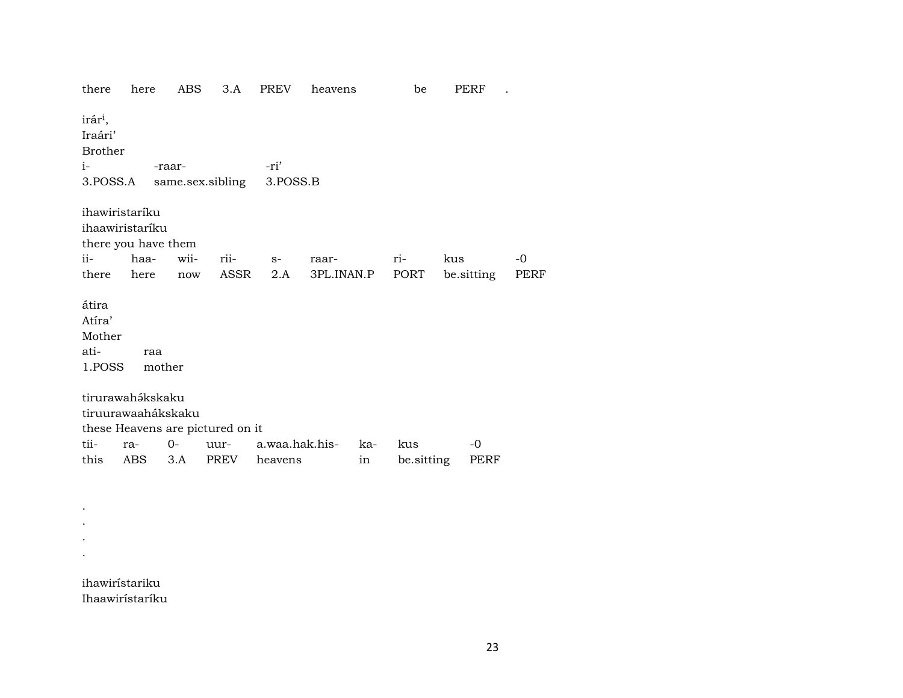| there                                                         | here                | ABS    | 3.A                              | PREV             | heavens    |     | be         | PERF       |      |
|---------------------------------------------------------------|---------------------|--------|----------------------------------|------------------|------------|-----|------------|------------|------|
| irár <sup>i</sup> ,<br>Iraári'<br>Brother<br>$i-$<br>3.POSS.A |                     | -raar- | same.sex.sibling                 | -ri'<br>3.POSS.B |            |     |            |            |      |
|                                                               | ihawiristaríku      |        |                                  |                  |            |     |            |            |      |
|                                                               | ihaawiristaríku     |        |                                  |                  |            |     |            |            |      |
|                                                               | there you have them |        |                                  |                  |            |     |            |            |      |
| ii-                                                           | haa-                | wii-   | rii-                             | $S-$             | raar-      |     | ri-        | kus        | -0   |
|                                                               | there here          | now    | ASSR                             | 2.A              | 3PL.INAN.P |     | PORT       | be sitting | PERF |
| átira<br>Atira'<br>Mother<br>ati-<br>1.POSS                   | raa<br>mother       |        |                                  |                  |            |     |            |            |      |
|                                                               | tirurawahákskaku    |        |                                  |                  |            |     |            |            |      |
|                                                               | tiruurawaahákskaku  |        |                                  |                  |            |     |            |            |      |
|                                                               |                     |        | these Heavens are pictured on it |                  |            |     |            |            |      |
| tii-                                                          | ra-                 | $0-$   | uur-                             | a.waa.hak.his-   |            | ka- | kus        | $-0$       |      |
| this                                                          | ABS                 | 3.A    | PREV                             | heavens          |            | in  | be sitting | PERF       |      |

ihawirístariku Ihaawirístaríku

. . . .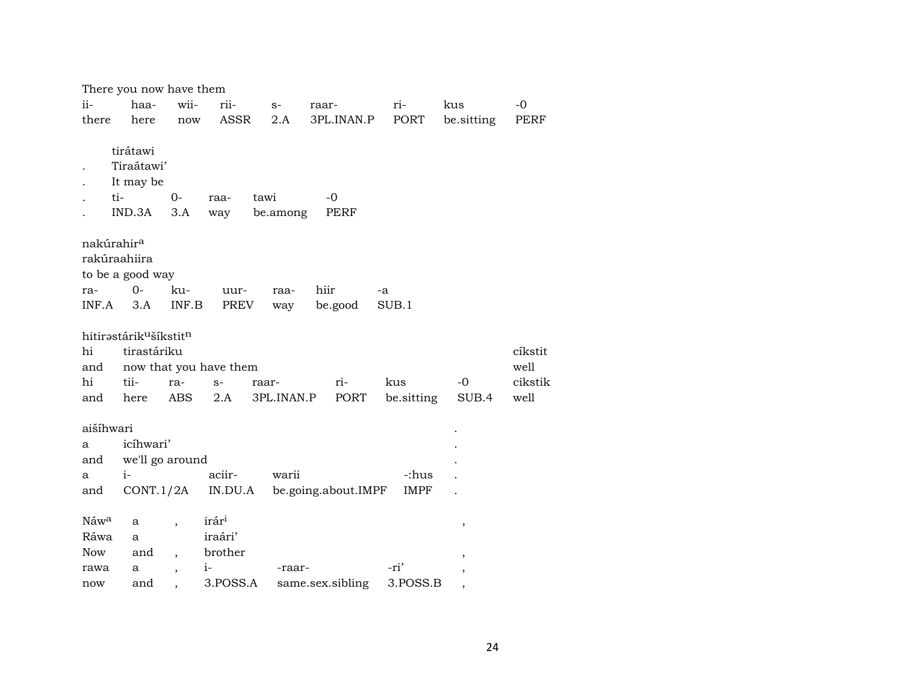| There you now have them |                                                |                          |                        |            |                     |             |                          |         |  |  |
|-------------------------|------------------------------------------------|--------------------------|------------------------|------------|---------------------|-------------|--------------------------|---------|--|--|
| ii-                     | haa-                                           | wii-                     | rii-                   | $S-$       | raar-               | ri-         | kus                      | $-0$    |  |  |
| there                   | here                                           | now                      | ASSR                   | 2.A        | 3PL.INAN.P          | PORT        | be.sitting               | PERF    |  |  |
|                         |                                                |                          |                        |            |                     |             |                          |         |  |  |
|                         | tirátawi                                       |                          |                        |            |                     |             |                          |         |  |  |
|                         | Tiraátawi'                                     |                          |                        |            |                     |             |                          |         |  |  |
|                         | It may be                                      |                          |                        |            |                     |             |                          |         |  |  |
|                         | ti-                                            | $0-$                     | raa-                   | tawi       | $-0$                |             |                          |         |  |  |
|                         | IND.3A                                         | 3.A                      | way                    | be.among   | PERF                |             |                          |         |  |  |
|                         |                                                |                          |                        |            |                     |             |                          |         |  |  |
| nakúrahir <sup>a</sup>  |                                                |                          |                        |            |                     |             |                          |         |  |  |
|                         | rakúraahiira                                   |                          |                        |            |                     |             |                          |         |  |  |
|                         | to be a good way                               |                          |                        |            |                     |             |                          |         |  |  |
| ra-                     | $0-$                                           | ku-                      | uur-                   | raa-       | hiir                | $-a$        |                          |         |  |  |
| INF.A                   | 3.A                                            | INF.B                    | PREV                   | way        | be.good             | SUB.1       |                          |         |  |  |
|                         |                                                |                          |                        |            |                     |             |                          |         |  |  |
|                         | hitirəstárik <sup>u</sup> šíkstit <sup>n</sup> |                          |                        |            |                     |             |                          |         |  |  |
| hi                      | tirastáriku                                    |                          |                        |            |                     |             |                          | cíkstit |  |  |
| and                     |                                                |                          | now that you have them |            |                     |             |                          | well    |  |  |
| hi                      | tii-                                           | ra-                      | $S-$                   | raar-      | ri-                 | kus         | $-0$                     | cikstik |  |  |
| and                     | here                                           | ABS                      | 2.A                    | 3PL.INAN.P | PORT                | be sitting  | SUB.4                    | well    |  |  |
|                         |                                                |                          |                        |            |                     |             |                          |         |  |  |
| aišíhwari               |                                                |                          |                        |            |                     |             |                          |         |  |  |
| a                       | icíhwari'                                      |                          |                        |            |                     |             |                          |         |  |  |
| and                     | we'll go around                                |                          |                        |            |                     |             |                          |         |  |  |
| a                       | $i-$                                           |                          | aciir-                 | warii      |                     | -:hus       |                          |         |  |  |
| and                     | CONT.1/2A                                      |                          | IN.DU.A                |            | be.going.about.IMPF | <b>IMPF</b> |                          |         |  |  |
|                         |                                                |                          |                        |            |                     |             |                          |         |  |  |
| Náw <sup>a</sup>        | a                                              | $\overline{\phantom{a}}$ | irár <sup>i</sup>      |            |                     |             | $\, ,$                   |         |  |  |
| Ráwa                    | a                                              |                          | iraári'                |            |                     |             |                          |         |  |  |
| <b>Now</b>              | and                                            | $\overline{\phantom{a}}$ | brother                |            |                     |             | $\overline{\phantom{a}}$ |         |  |  |
| rawa                    | а                                              | $\overline{\phantom{a}}$ | $i-$                   | -raar-     |                     | -ri'        | ,                        |         |  |  |
| now                     | and                                            |                          | 3.POSS.A               |            | same.sex.sibling    | 3.POSS.B    | $\cdot$                  |         |  |  |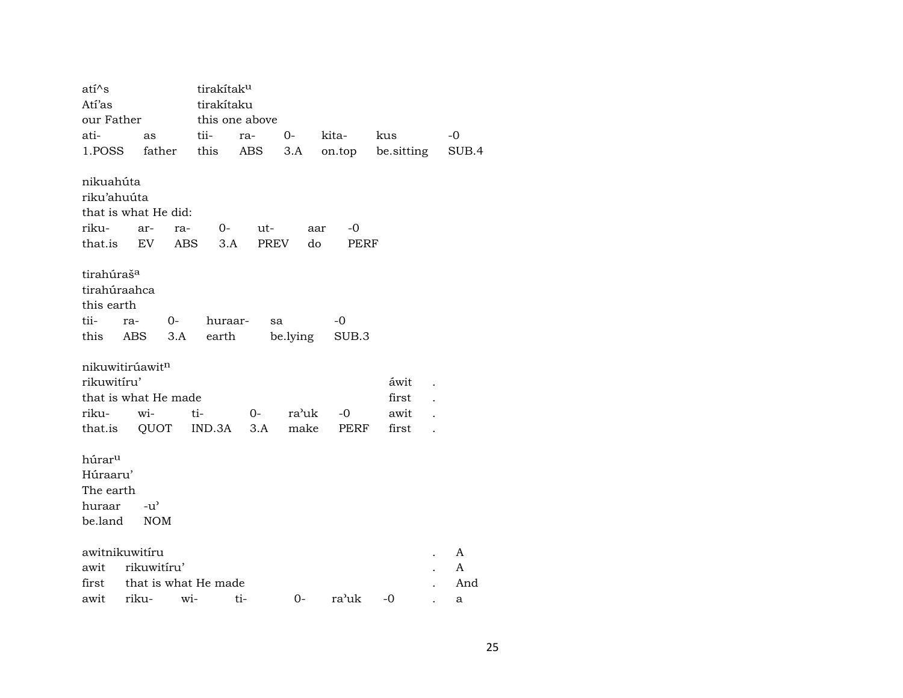atí^s tirakítak<sup>u</sup> Atí'as tirakítaku our Father this one above ati- as tii- ra- 0- kita- kus -0 1.POSS father this ABS 3.A on.top be.sitting SUB.4 nikuahúta riku'ahuúta that is what He did: riku- ar- ra- 0- ut- aar -0 that.is EV ABS 3.A PREV do PERF tirahúraš<sup>a</sup> tirahúraahca this earth tii- ra- 0- huraar- sa -0 this ABS 3.A earth be.lying SUB.3 nikuwitirúawit¶ rikuwitíru' áwit . that is what He made first . riku- wi- ti- 0- ra"uk -0 awit . that.is QUOT IND.3A 3.A make PERF first . húrar<sup>u</sup> Húraaru' The earth huraar -u" be.land NOM awitnikuwitíru . A awit rikuwitíru' . A first that is what He made . And awit riku- wi- ti- 0- ra"uk -0 . a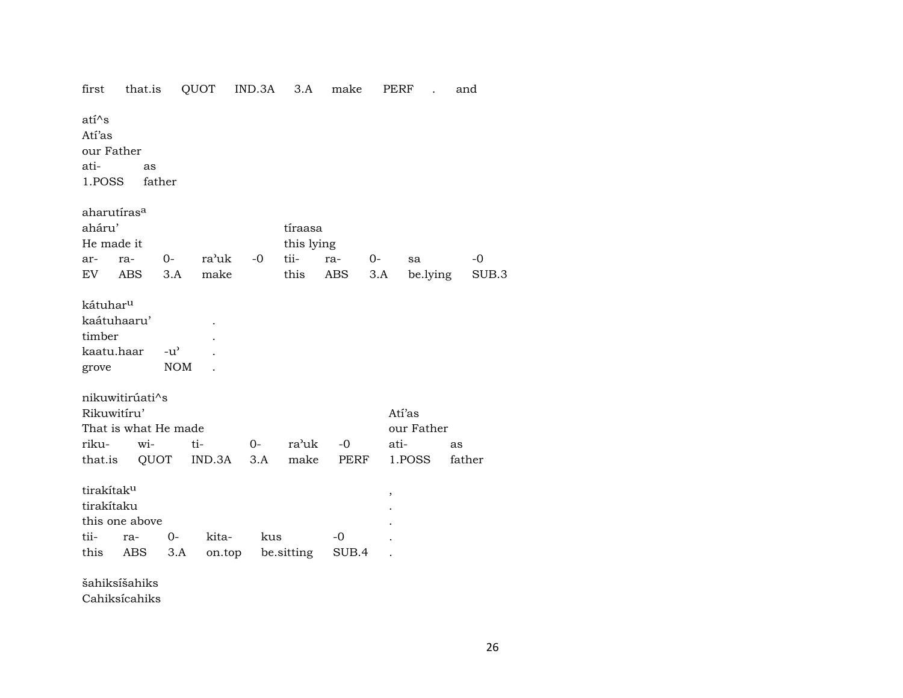first that.is QUOT IND.3A 3.A make PERF . and atí^s Atí'as our Father ati- as 1.POSS father aharutíras<sup>a</sup> aháru' tíraasa He made it this lying ar- ra- 0- ra"uk -0 tii- ra- 0- sa -0 EV ABS 3.A make this ABS 3.A be.lying SUB.3 kátuharµ kaátuhaaru' . timber . kaatu.haar -u" . grove NOM . nikuwitirúati^s Rikuwitíru' Atí'as That is what He made our Father riku- wi- ti- 0- ra"uk -0 ati- as that.is QUOT IND.3A 3.A make PERF 1.POSS father tirakítakµ , tirakítaku . this one above tii- ra- 0- kita- kus -0 . this ABS 3.A on.top be.sitting SUB.4 . šahiksíšahiks

Cahiksícahiks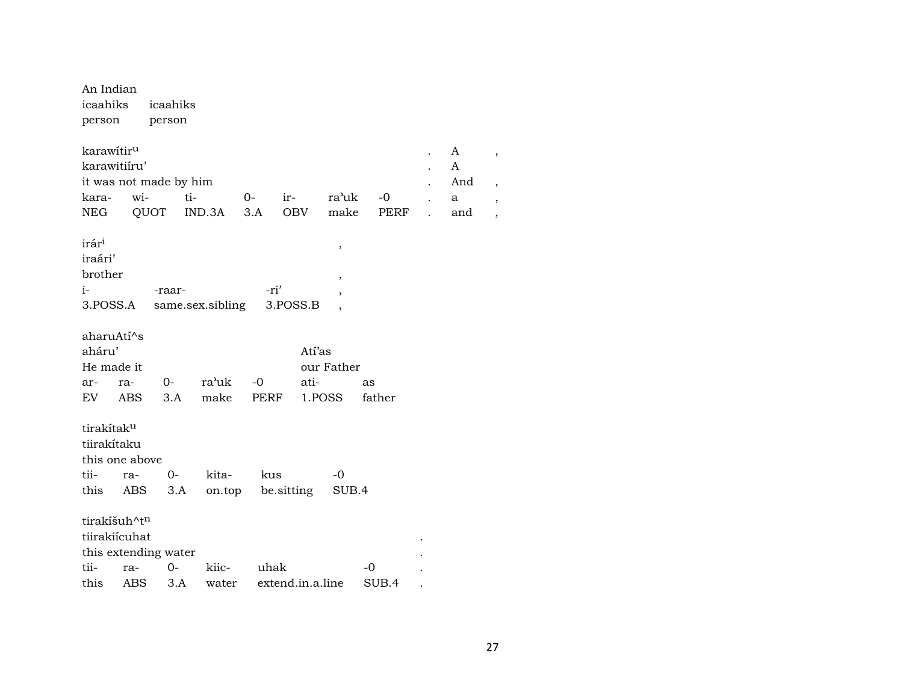| An Indian<br>icaahiks<br>person                                         |            | icaahiks<br>person                  |                  |             |                     |                      |              |                           |
|-------------------------------------------------------------------------|------------|-------------------------------------|------------------|-------------|---------------------|----------------------|--------------|---------------------------|
| karawitir <sup>u</sup><br>karawitiíru'<br>kara-<br>NEG                  | wi-        | it was not made by him<br>QUOT      | ti-<br>IND.3A    | $0-$<br>3.A | $ir-$<br><b>OBV</b> | ra'uk<br>make        | -0<br>PERF   | A<br>A<br>And<br>a<br>and |
| irár <sup>i</sup><br>iraári'<br>brother<br>i-<br>3.POSS.A               |            | -raar-                              | same.sex.sibling | -ri'        | 3.POSS.B            | $\, ,$<br>,          |              |                           |
| aharuAtí^s<br>aháru'<br>He made it<br>ar-<br>EV                         | ra-<br>ABS | 0-<br>3.A                           | ra'uk<br>make    | -0<br>PERF  | Atí'as<br>ati-      | our Father<br>1.POSS | as<br>father |                           |
| tirakítak <sup>u</sup><br>tiirakítaku<br>this one above<br>tii-<br>this | ra-<br>ABS | $0 -$<br>3.A                        | kita-<br>on.top  | kus         | be.sitting          | $-0$<br>SUB.4        |              |                           |
| tirakíšuh^tn<br>tiirakiícuhat<br>tii-<br>this                           | ra-<br>ABS | this extending water<br>$0-$<br>3.A | kiic-<br>water   | uhak        | extend.in.a.line    |                      | -0<br>SUB.4  |                           |

 $\,$  ,

 $\, ,$  $\,$  $\overline{\phantom{a}}$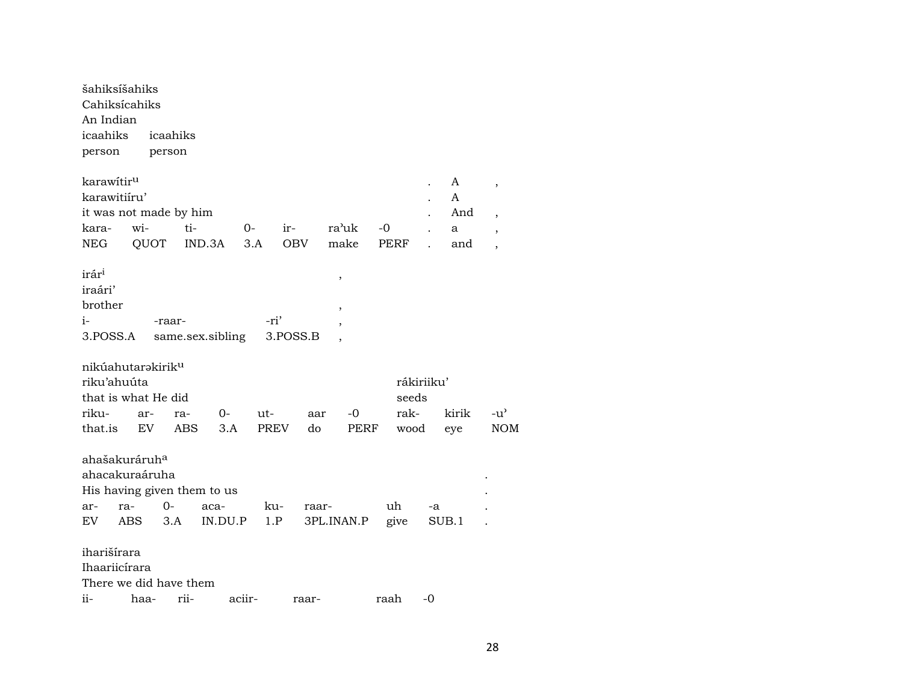| šahiksíšahiks<br>Cahiksícahiks<br>An Indian<br>icaahiks<br>person                                            | icaahiks<br>person |                                  |                     |            |               |                                     |                           |                                                                                         |
|--------------------------------------------------------------------------------------------------------------|--------------------|----------------------------------|---------------------|------------|---------------|-------------------------------------|---------------------------|-----------------------------------------------------------------------------------------|
| karawitiru<br>karawitiíru'<br>it was not made by him<br>kara-<br><b>NEG</b>                                  | wi-<br>QUOT        | ti-<br>IND.3A                    | $O -$<br>ir-<br>3.A | <b>OBV</b> | ra'uk<br>make | -0<br>PERF                          | A<br>A<br>And<br>a<br>and | $^\mathrm{^\mathrm{o}}$<br>$\overline{ }$<br>$\overline{\phantom{a}}$<br>$\overline{ }$ |
| irár <sup>i</sup><br>iraári'<br>brother<br>$i-$<br>3.POSS.A                                                  | -raar-             | same.sex.sibling                 | -ri'<br>3.POSS.B    |            | ,<br>,        |                                     |                           |                                                                                         |
| nikúahutarakirik <sup>u</sup><br>riku'ahuúta<br>that is what He did<br>riku-<br>that.is                      | ar-<br>EV          | $0-$<br>ra-<br><b>ABS</b><br>3.A | ut-<br><b>PREV</b>  | aar<br>do  | -0<br>PERF    | rákiriiku'<br>seeds<br>rak-<br>wood | kirik<br>eye              | -น'<br><b>NOM</b>                                                                       |
| ahašakuráruh <sup>a</sup><br>ahacakuraáruha<br>His having given them to us<br>ra-<br>ar-<br>EV<br><b>ABS</b> | 0-<br>3.A          | aca-<br>IN.DU.P                  | ku-<br>1.P          | raar-      | 3PL.INAN.P    | uh<br>give                          | -a<br>SUB.1               |                                                                                         |
| iharišírara<br>Ihaariicírara<br>There we did have them<br>ii-                                                | haa-               | rii-                             | aciir-              | raar-      |               | raah<br>$-0$                        |                           |                                                                                         |